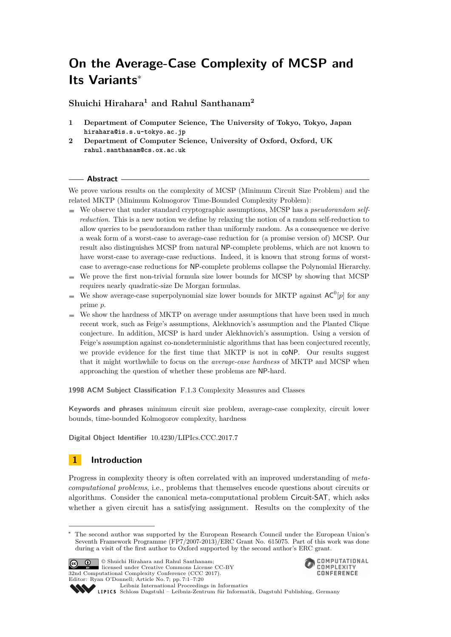# **On the Average-Case Complexity of MCSP and Its Variants**<sup>∗</sup>

**Shuichi Hirahara<sup>1</sup> and Rahul Santhanam<sup>2</sup>**

- **1 Department of Computer Science, The University of Tokyo, Tokyo, Japan hirahara@is.s.u-tokyo.ac.jp**
- **2 Department of Computer Science, University of Oxford, Oxford, UK rahul.santhanam@cs.ox.ac.uk**

#### **Abstract**

We prove various results on the complexity of MCSP (Minimum Circuit Size Problem) and the related MKTP (Minimum Kolmogorov Time-Bounded Complexity Problem):

- We observe that under standard cryptographic assumptions, MCSP has a *pseudorandom selfreduction*. This is a new notion we define by relaxing the notion of a random self-reduction to allow queries to be pseudorandom rather than uniformly random. As a consequence we derive a weak form of a worst-case to average-case reduction for (a promise version of) MCSP. Our result also distinguishes MCSP from natural NP-complete problems, which are not known to have worst-case to average-case reductions. Indeed, it is known that strong forms of worstcase to average-case reductions for NP-complete problems collapse the Polynomial Hierarchy.
- $\blacksquare$  We prove the first non-trivial formula size lower bounds for MCSP by showing that MCSP requires nearly quadratic-size De Morgan formulas.
- We show average-case superpolynomial size lower bounds for MKTP against  $AC^0[p]$  for any prime *p*.
- We show the hardness of MKTP on average under assumptions that have been used in much  $\mathcal{L}_{\mathcal{A}}$ recent work, such as Feige's assumptions, Alekhnovich's assumption and the Planted Clique conjecture. In addition, MCSP is hard under Alekhnovich's assumption. Using a version of Feige's assumption against co-nondeterministic algorithms that has been conjectured recently, we provide evidence for the first time that MKTP is not in coNP. Our results suggest that it might worthwhile to focus on the *average-case hardness* of MKTP and MCSP when approaching the question of whether these problems are NP-hard.

**1998 ACM Subject Classification** F.1.3 Complexity Measures and Classes

**Keywords and phrases** minimum circuit size problem, average-case complexity, circuit lower bounds, time-bounded Kolmogorov complexity, hardness

**Digital Object Identifier** [10.4230/LIPIcs.CCC.2017.7](http://dx.doi.org/10.4230/LIPIcs.CCC.2017.7)

## **1 Introduction**

Progress in complexity theory is often correlated with an improved understanding of *metacomputational problems*, i.e., problems that themselves encode questions about circuits or algorithms. Consider the canonical meta-computational problem Circuit-SAT, which asks whether a given circuit has a satisfying assignment. Results on the complexity of the

The second author was supported by the European Research Council under the European Union's Seventh Framework Programme (FP7/2007-2013)/ERC Grant No. 615075. Part of this work was done during a visit of the first author to Oxford supported by the second author's ERC grant.



© Shuichi Hirahara and Rahul Santhanam; licensed under Creative Commons License CC-BY 32nd Computational Complexity Conference (CCC 2017). Editor: Ryan O'Donnell; Article No. 7; pp. 7:1–7[:20](#page-19-0)



[Leibniz International Proceedings in Informatics](http://www.dagstuhl.de/lipics/) Leibniz international Froceedings in missimosischer Magstuhl Publishing, Germany<br>LIPICS [Schloss Dagstuhl – Leibniz-Zentrum für Informatik, Dagstuhl Publishing, Germany](http://www.dagstuhl.de)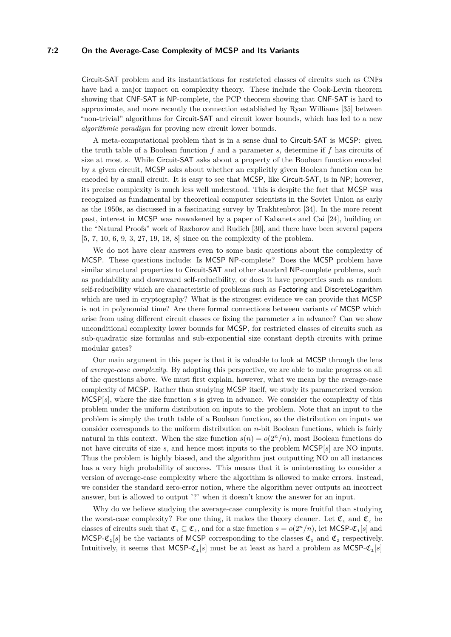#### **7:2 On the Average-Case Complexity of MCSP and Its Variants**

Circuit-SAT problem and its instantiations for restricted classes of circuits such as CNFs have had a major impact on complexity theory. These include the Cook-Levin theorem showing that CNF-SAT is NP-complete, the PCP theorem showing that CNF-SAT is hard to approximate, and more recently the connection established by Ryan Williams [\[35\]](#page-19-1) between "non-trivial" algorithms for Circuit-SAT and circuit lower bounds, which has led to a new *algorithmic paradigm* for proving new circuit lower bounds.

A meta-computational problem that is in a sense dual to Circuit-SAT is MCSP: given the truth table of a Boolean function *f* and a parameter *s*, determine if *f* has circuits of size at most *s*. While Circuit-SAT asks about a property of the Boolean function encoded by a given circuit, MCSP asks about whether an explicitly given Boolean function can be encoded by a small circuit. It is easy to see that MCSP, like Circuit-SAT, is in NP; however, its precise complexity is much less well understood. This is despite the fact that MCSP was recognized as fundamental by theoretical computer scientists in the Soviet Union as early as the 1950s, as discussed in a fascinating survey by Trakhtenbrot [\[34\]](#page-19-2). In the more recent past, interest in MCSP was reawakened by a paper of Kabanets and Cai [\[24\]](#page-18-0), building on the "Natural Proofs" work of Razborov and Rudich [\[30\]](#page-19-3), and there have been several papers [\[5,](#page-17-0) [7,](#page-17-1) [10,](#page-18-1) [6,](#page-17-2) [9,](#page-18-2) [3,](#page-17-3) [27,](#page-19-4) [19,](#page-18-3) [18,](#page-18-4) [8\]](#page-18-5) since on the complexity of the problem.

We do not have clear answers even to some basic questions about the complexity of MCSP. These questions include: Is MCSP NP-complete? Does the MCSP problem have similar structural properties to Circuit-SAT and other standard NP-complete problems, such as paddability and downward self-reducibility, or does it have properties such as random self-reducibility which are characteristic of problems such as Factoring and DiscreteLogarithm which are used in cryptography? What is the strongest evidence we can provide that MCSP is not in polynomial time? Are there formal connections between variants of MCSP which arise from using different circuit classes or fixing the parameter *s* in advance? Can we show unconditional complexity lower bounds for MCSP, for restricted classes of circuits such as sub-quadratic size formulas and sub-exponential size constant depth circuits with prime modular gates?

Our main argument in this paper is that it is valuable to look at MCSP through the lens of *average-case complexity*. By adopting this perspective, we are able to make progress on all of the questions above. We must first explain, however, what we mean by the average-case complexity of MCSP. Rather than studying MCSP itself, we study its parameterized version MCSP[*s*], where the size function *s* is given in advance. We consider the complexity of this problem under the uniform distribution on inputs to the problem. Note that an input to the problem is simply the truth table of a Boolean function, so the distribution on inputs we consider corresponds to the uniform distribution on *n*-bit Boolean functions, which is fairly natural in this context. When the size function  $s(n) = o(2<sup>n</sup>/n)$ , most Boolean functions do not have circuits of size *s*, and hence most inputs to the problem MCSP[*s*] are NO inputs. Thus the problem is highly biased, and the algorithm just outputting NO on all instances has a very high probability of success. This means that it is uninteresting to consider a version of average-case complexity where the algorithm is allowed to make errors. Instead, we consider the standard zero-error notion, where the algorithm never outputs an incorrect answer, but is allowed to output '?' when it doesn't know the answer for an input.

Why do we believe studying the average-case complexity is more fruitful than studying the worst-case complexity? For one thing, it makes the theory cleaner. Let  $\mathfrak{C}_1$  and  $\mathfrak{C}_2$  be classes of circuits such that  $\mathfrak{C}_1 \subseteq \mathfrak{C}_2$ , and for a size function  $s = o(2^n/n)$ , let MCSP- $\mathfrak{C}_1[s]$  and MCSP- $\mathfrak{C}_2[s]$  be the variants of MCSP corresponding to the classes  $\mathfrak{C}_1$  and  $\mathfrak{C}_2$  respectively. Intuitively, it seems that MCSP- $\mathfrak{C}_2[s]$  must be at least as hard a problem as MCSP- $\mathfrak{C}_1[s]$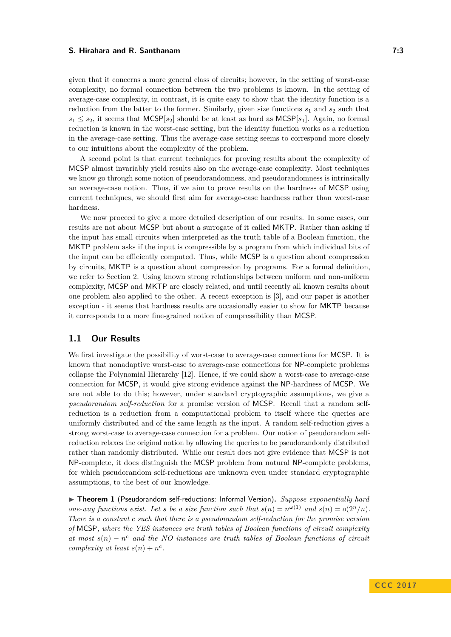given that it concerns a more general class of circuits; however, in the setting of worst-case complexity, no formal connection between the two problems is known. In the setting of average-case complexity, in contrast, it is quite easy to show that the identity function is a reduction from the latter to the former. Similarly, given size functions  $s_1$  and  $s_2$  such that  $s_1 \leq s_2$ , it seems that MCSP[ $s_2$ ] should be at least as hard as MCSP[ $s_1$ ]. Again, no formal reduction is known in the worst-case setting, but the identity function works as a reduction in the average-case setting. Thus the average-case setting seems to correspond more closely to our intuitions about the complexity of the problem.

A second point is that current techniques for proving results about the complexity of MCSP almost invariably yield results also on the average-case complexity. Most techniques we know go through some notion of pseudorandomness, and pseudorandomness is intrinsically an average-case notion. Thus, if we aim to prove results on the hardness of MCSP using current techniques, we should first aim for average-case hardness rather than worst-case hardness.

We now proceed to give a more detailed description of our results. In some cases, our results are not about MCSP but about a surrogate of it called MKTP. Rather than asking if the input has small circuits when interpreted as the truth table of a Boolean function, the MKTP problem asks if the input is compressible by a program from which individual bits of the input can be efficiently computed. Thus, while MCSP is a question about compression by circuits, MKTP is a question about compression by programs. For a formal definition, we refer to Section [2.](#page-3-0) Using known strong relationships between uniform and non-uniform complexity, MCSP and MKTP are closely related, and until recently all known results about one problem also applied to the other. A recent exception is [\[3\]](#page-17-3), and our paper is another exception - it seems that hardness results are occasionally easier to show for MKTP because it corresponds to a more fine-grained notion of compressibility than MCSP.

## **1.1 Our Results**

We first investigate the possibility of worst-case to average-case connections for MCSP. It is known that nonadaptive worst-case to average-case connections for NP-complete problems collapse the Polynomial Hierarchy [\[12\]](#page-18-6). Hence, if we could show a worst-case to average-case connection for MCSP, it would give strong evidence against the NP-hardness of MCSP. We are not able to do this; however, under standard cryptographic assumptions, we give a *pseudorandom self-reduction* for a promise version of MCSP. Recall that a random selfreduction is a reduction from a computational problem to itself where the queries are uniformly distributed and of the same length as the input. A random self-reduction gives a strong worst-case to average-case connection for a problem. Our notion of pseudorandom selfreduction relaxes the original notion by allowing the queries to be pseudorandomly distributed rather than randomly distributed. While our result does not give evidence that MCSP is not NP-complete, it does distinguish the MCSP problem from natural NP-complete problems, for which pseudorandom self-reductions are unknown even under standard cryptographic assumptions, to the best of our knowledge.

<span id="page-2-0"></span>▶ **Theorem 1** (Pseudorandom self-reductions: Informal Version). *Suppose exponentially hard one-way functions exist. Let s be a size function such that*  $s(n) = n^{\omega(1)}$  and  $s(n) = o(2^n/n)$ . *There is a constant c such that there is a pseudorandom self-reduction for the promise version of* MCSP*, where the YES instances are truth tables of Boolean functions of circuit complexity at most*  $s(n) - n^c$  *and the NO instances are truth tables of Boolean functions of circuit complexity at least*  $s(n) + n^c$ .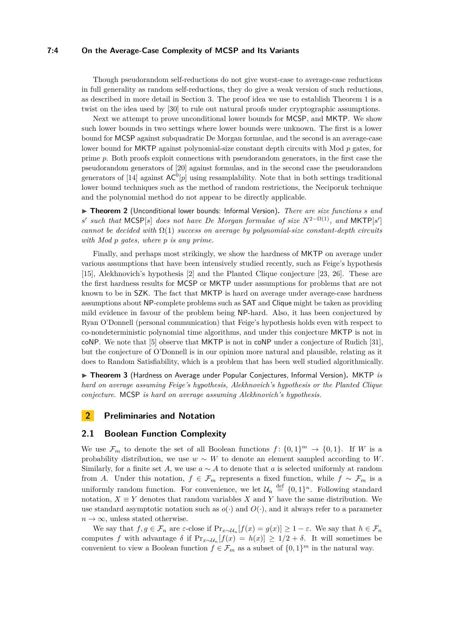#### **7:4 On the Average-Case Complexity of MCSP and Its Variants**

Though pseudorandom self-reductions do not give worst-case to average-case reductions in full generality as random self-reductions, they do give a weak version of such reductions, as described in more detail in Section [3.](#page-8-0) The proof idea we use to establish Theorem [1](#page-2-0) is a twist on the idea used by [\[30\]](#page-19-3) to rule out natural proofs under cryptographic assumptions.

Next we attempt to prove unconditional lower bounds for MCSP, and MKTP. We show such lower bounds in two settings where lower bounds were unknown. The first is a lower bound for MCSP against subquadratic De Morgan formulae, and the second is an average-case lower bound for MKTP against polynomial-size constant depth circuits with Mod *p* gates, for prime *p*. Both proofs exploit connections with pseudorandom generators, in the first case the pseudorandom generators of [\[20\]](#page-18-7) against formulas, and in the second case the pseudorandom generators of [\[14\]](#page-18-8) against  $AC^0[p]$  using resamplability. Note that in both settings traditional lower bound techniques such as the method of random restrictions, the Neciporuk technique and the polynomial method do not appear to be directly applicable.

▶ Theorem 2 (Unconditional lower bounds: Informal Version). *There are size functions s and s*' *such that*  $MCSP[s]$  *does not have De Morgan formulae of size*  $N^{2-\Omega(1)}$ *, and*  $MKTP[s']$ *cannot be decided with* Ω(1) *success on average by polynomial-size constant-depth circuits with Mod p gates, where p is any prime.*

Finally, and perhaps most strikingly, we show the hardness of MKTP on average under various assumptions that have been intensively studied recently, such as Feige's hypothesis [\[15\]](#page-18-9), Alekhnovich's hypothesis [\[2\]](#page-17-4) and the Planted Clique conjecture [\[23,](#page-18-10) [26\]](#page-19-5). These are the first hardness results for MCSP or MKTP under assumptions for problems that are not known to be in SZK. The fact that MKTP is hard on average under average-case hardness assumptions about NP-complete problems such as SAT and Clique might be taken as providing mild evidence in favour of the problem being NP-hard. Also, it has been conjectured by Ryan O'Donnell (personal communication) that Feige's hypothesis holds even with respect to co-nondeterministic polynomial time algorithms, and under this conjecture MKTP is not in coNP. We note that [\[5\]](#page-17-0) observe that MKTP is not in coNP under a conjecture of Rudich [\[31\]](#page-19-6), but the conjecture of O'Donnell is in our opinion more natural and plausible, relating as it does to Random Satisfiability, which is a problem that has been well studied algorithmically.

▶ Theorem 3 (Hardness on Average under Popular Conjectures, Informal Version). MKTP *is hard on average assuming Feige's hypothesis, Alekhnovich's hypothesis or the Planted Clique conjecture.* MCSP *is hard on average assuming Alekhnovich's hypothesis.*

## <span id="page-3-0"></span>**2 Preliminaries and Notation**

## **2.1 Boolean Function Complexity**

We use  $\mathcal{F}_m$  to denote the set of all Boolean functions  $f: \{0,1\}^m \to \{0,1\}$ . If W is a probability distribution, we use  $w \sim W$  to denote an element sampled according to *W*. Similarly, for a finite set A, we use  $a \sim A$  to denote that a is selected uniformly at random from *A*. Under this notation,  $f \in \mathcal{F}_m$  represents a fixed function, while  $f \sim \mathcal{F}_m$  is a uniformly random function. For convenience, we let  $\mathcal{U}_n \stackrel{\text{def}}{=} \{0,1\}^n$ . Following standard notation,  $X \equiv Y$  denotes that random variables X and Y have the same distribution. We use standard asymptotic notation such as  $o(\cdot)$  and  $O(\cdot)$ , and it always refer to a parameter  $n \to \infty$ , unless stated otherwise.

We say that  $f, g \in \mathcal{F}_n$  are  $\varepsilon$ -close if  $Pr_{x \sim \mathcal{U}_n}[f(x) = g(x)] \geq 1 - \varepsilon$ . We say that  $h \in \mathcal{F}_n$ computes *f* with advantage  $\delta$  if  $Pr_{x \sim \mathcal{U}_n}[f(x) = h(x)] \geq 1/2 + \delta$ . It will sometimes be convenient to view a Boolean function  $f \in \mathcal{F}_m$  as a subset of  $\{0,1\}^m$  in the natural way.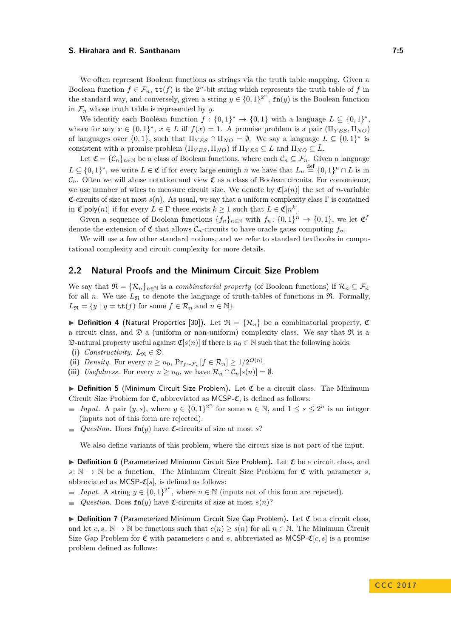We often represent Boolean functions as strings via the truth table mapping. Given a Boolean function  $f \in \mathcal{F}_n$ ,  $\text{tt}(f)$  is the 2<sup>*n*</sup>-bit string which represents the truth table of *f* in the standard way, and conversely, given a string  $y \in \{0,1\}^{2^n}$ ,  $\text{fn}(y)$  is the Boolean function in  $\mathcal{F}_n$  whose truth table is represented by *y*.

We identify each Boolean function  $f: \{0,1\}^* \to \{0,1\}$  with a language  $L \subseteq \{0,1\}^*$ , where for any  $x \in \{0,1\}^*, x \in L$  iff  $f(x) = 1$ . A promise problem is a pair  $(\Pi_{YES}, \Pi_{NO})$ of languages over  $\{0,1\}$ , such that  $\Pi_{YES} \cap \Pi_{NO} = \emptyset$ . We say a language  $L \subseteq \{0,1\}^*$  is consistent with a promise problem  $(\Pi_{YES}, \Pi_{NO})$  if  $\Pi_{YES} \subseteq L$  and  $\Pi_{NO} \subseteq \overline{L}$ .

Let  $\mathfrak{C} = {\mathcal{C}_n}_{n \in \mathbb{N}}$  be a class of Boolean functions, where each  $\mathcal{C}_n \subseteq \mathcal{F}_n$ . Given a language  $L \subseteq \{0,1\}^*$ , we write  $L \in \mathfrak{C}$  if for every large enough *n* we have that  $L_n \stackrel{\text{def}}{=} \{0,1\}^n \cap L$  is in  $\mathcal{C}_n$ . Often we will abuse notation and view  $\mathfrak{C}$  as a class of Boolean circuits. For convenience, we use number of wires to measure circuit size. We denote by  $\mathfrak{C}[s(n)]$  the set of *n*-variable  $\mathfrak{C}$ -circuits of size at most  $s(n)$ . As usual, we say that a uniform complexity class  $\Gamma$  is contained in  $\mathfrak{C}[\text{poly}(n)]$  if for every  $L \in \Gamma$  there exists  $k \geq 1$  such that  $L \in \mathfrak{C}[n^k]$ .

Given a sequence of Boolean functions  $\{f_n\}_{n\in\mathbb{N}}$  with  $f_n: \{0,1\}^n \to \{0,1\}$ , we let  $\mathfrak{C}^f$ denote the extension of  $\mathfrak{C}$  that allows  $\mathcal{C}_n$ -circuits to have oracle gates computing  $f_n$ .

We will use a few other standard notions, and we refer to standard textbooks in computational complexity and circuit complexity for more details.

## **2.2 Natural Proofs and the Minimum Circuit Size Problem**

We say that  $\mathfrak{R} = {\mathcal{R}_n}_{n \in \mathbb{N}}$  is a *combinatorial property* (of Boolean functions) if  $\mathcal{R}_n \subseteq \mathcal{F}_n$ for all *n*. We use  $L_{\mathfrak{R}}$  to denote the language of truth-tables of functions in  $\mathfrak{R}$ . Formally,  $L_{\mathfrak{R}} = \{y \mid y = \mathtt{tt}(f) \text{ for some } f \in \mathcal{R}_n \text{ and } n \in \mathbb{N}\}.$ 

**Definition 4** (Natural Properties [\[30\]](#page-19-3)). Let  $\mathcal{R} = {\mathcal{R}_n}$  be a combinatorial property,  $\mathfrak{C}$ a circuit class, and  $\mathfrak D$  a (uniform or non-uniform) complexity class. We say that  $\mathfrak R$  is a  $\mathfrak{D}\text{-}$ natural property useful against  $\mathfrak{C}[s(n)]$  if there is  $n_0 \in \mathbb{N}$  such that the following holds:

- (i) *Constructivity*.  $L_{\Re} \in \mathfrak{D}$ .
- (ii) *Density*. For every  $n \ge n_0$ ,  $Pr_{f \sim \mathcal{F}_n}[f \in \mathcal{R}_n] \ge 1/2^{O(n)}$ .
- (iii) *Usefulness.* For every  $n \geq n_0$ , we have  $\mathcal{R}_n \cap \mathcal{C}_n[s(n)] = \emptyset$ .

 $\triangleright$  **Definition 5** (Minimum Circuit Size Problem). Let  $\mathfrak{C}$  be a circuit class. The Minimum Circuit Size Problem for  $\mathfrak{C}$ , abbreviated as MCSP- $\mathfrak{C}$ , is defined as follows:

- *Input.* A pair  $(y, s)$ , where  $y \in \{0, 1\}^{2^n}$  for some  $n \in \mathbb{N}$ , and  $1 \le s \le 2^n$  is an integer  $\blacksquare$ (inputs not of this form are rejected).
- *Question.* Does  $\mathbf{fn}(y)$  have  $\mathfrak{C}$ -circuits of size at most *s*?  $\rightarrow$

We also define variants of this problem, where the circuit size is not part of the input.

▶ Definition 6 (Parameterized Minimum Circuit Size Problem). Let C be a circuit class, and  $s: \mathbb{N} \to \mathbb{N}$  be a function. The Minimum Circuit Size Problem for  $\mathfrak{C}$  with parameter *s*, abbreviated as MCSP- $\mathfrak{C}[s]$ , is defined as follows:

- *Input.* A string  $y \in \{0,1\}^{2^n}$ , where  $n \in \mathbb{N}$  (inputs not of this form are rejected).
- *Question.* Does  $\text{fn}(y)$  have  $\mathfrak{C}$ -circuits of size at most  $s(n)$ ?  $\overline{a}$

 $\triangleright$  **Definition 7** (Parameterized Minimum Circuit Size Gap Problem). Let  $\mathfrak{C}$  be a circuit class, and let  $c, s : \mathbb{N} \to \mathbb{N}$  be functions such that  $c(n) > s(n)$  for all  $n \in \mathbb{N}$ . The Minimum Circuit Size Gap Problem for  $\mathfrak C$  with parameters *c* and *s*, abbreviated as MCSP- $\mathfrak C[c, s]$  is a promise problem defined as follows: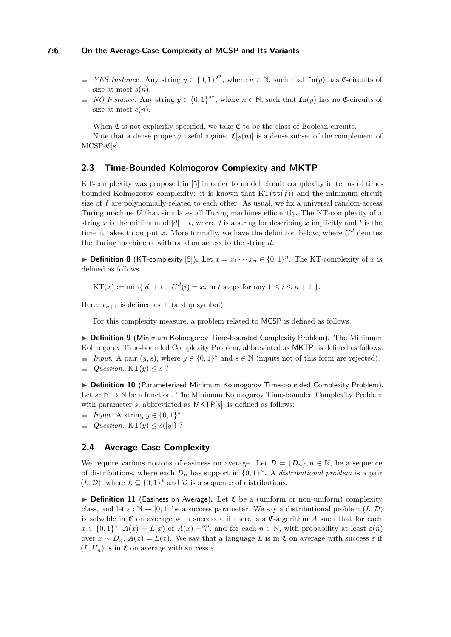#### **7:6 On the Average-Case Complexity of MCSP and Its Variants**

- *YES Instance.* Any string  $y \in \{0,1\}^{2^n}$ , where  $n \in \mathbb{N}$ , such that  $\text{fn}(y)$  has  $\mathfrak{C}$ -circuits of size at most  $s(n)$ .
- *NO Instance.* Any string  $y \in \{0,1\}^{2^n}$ , where  $n \in \mathbb{N}$ , such that  $\text{fn}(y)$  has no  $\mathfrak{C}$ -circuits of m. size at most  $c(n)$ .

When  $\mathfrak C$  is not explicitly specified, we take  $\mathfrak C$  to be the class of Boolean circuits.

Note that a dense property useful against  $\mathfrak{C}[s(n)]$  is a dense subset of the complement of  $MCSP-C[s]$ .

## **2.3 Time-Bounded Kolmogorov Complexity and MKTP**

KT-complexity was proposed in [\[5\]](#page-17-0) in order to model circuit complexity in terms of timebounded Kolmogorov complexity: it is known that  $KT(\mathbf{tt}(f))$  and the minimum circuit size of *f* are polynomially-related to each other. As usual, we fix a universal random-access Turing machine *U* that simulates all Turing machines efficiently. The KT-complexity of a string *x* is the minimum of  $|d| + t$ , where *d* is a string for describing *x* implicitly and *t* is the time it takes to output x. More formally, we have the definition below, where  $U^d$  denotes the Turing machine *U* with random access to the string *d*:

▶ **Definition 8** (KT-complexity [\[5\]](#page-17-0)). Let  $x = x_1 \cdots x_n \in \{0,1\}^n$ . The KT-complexity of *x* is defined as follows.

 $KT(x) := \min\{|d| + t \mid U^d(i) = x_i \text{ in } t \text{ steps for any } 1 \le i \le n+1 \}.$ 

Here,  $x_{n+1}$  is defined as  $\perp$  (a stop symbol).

For this complexity measure, a problem related to MCSP is defined as follows.

▶ **Definition 9** (Minimum Kolmogorov Time-bounded Complexity Problem). The Minimum Kolmogorov Time-bounded Complexity Problem, abbreviated as MKTP, is defined as follows: *Input.* A pair  $(y, s)$ , where  $y \in \{0, 1\}^*$  and  $s \in \mathbb{N}$  (inputs not of this form are rejected).

*Question.* KT $(y) \leq s$  ?  $\equiv$ 

▶ Definition 10 (Parameterized Minimum Kolmogorov Time-bounded Complexity Problem). Let  $s: \mathbb{N} \to \mathbb{N}$  be a function. The Minimum Kolmogorov Time-bounded Complexity Problem with parameter *s*, abbreviated as MKTP[*s*], is defined as follows:

- *Input.* A string  $y \in \{0, 1\}^*$ .
- *Question.* KT $(y) \leq s(|y|)$  ?  $\overline{\phantom{a}}$

## **2.4 Average-Case Complexity**

We require various notions of easiness on average. Let  $\mathcal{D} = \{D_n\}, n \in \mathbb{N}$ , be a sequence of distributions, where each  $D_n$  has support in  $\{0,1\}^n$ . A *distributional problem* is a pair  $(L, \mathcal{D})$ , where  $L \subseteq \{0,1\}^*$  and  $\mathcal{D}$  is a sequence of distributions.

<span id="page-5-0"></span>▶ **Definition 11** (Easiness on Average). Let  $\mathfrak C$  be a (uniform or non-uniform) complexity class, and let  $\varepsilon : \mathbb{N} \to [0, 1]$  be a success parameter. We say a distributional problem  $(L, \mathcal{D})$ is solvable in  $\mathfrak C$  on average with success  $\varepsilon$  if there is a  $\mathfrak C$ -algorithm A such that for each  $x \in \{0,1\}^*, A(x) = L(x)$  or  $A(x) =$ '?', and for each  $n \in \mathbb{N}$ , with probability at least  $\varepsilon(n)$ over  $x \sim D_n$ ,  $A(x) = L(x)$ . We say that a language L is in  $\mathfrak C$  on average with success  $\varepsilon$  if  $(L, U_n)$  is in  $\mathfrak C$  on average with success  $\varepsilon$ .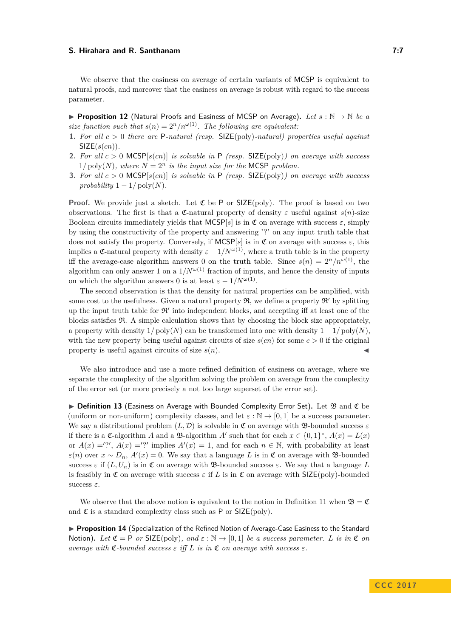We observe that the easiness on average of certain variants of MCSP is equivalent to natural proofs, and moreover that the easiness on average is robust with regard to the success parameter.

I **Proposition 12** (Natural Proofs and Easiness of MCSP on Average)**.** *Let s* : N → N *be a size function such that*  $s(n) = 2^n/n^{\omega(1)}$ . The following are equivalent:

- **1.** *For all c >* 0 *there are* P*-natural (resp.* SIZE(poly)*-natural) properties useful against* SIZE(*s*(*cn*))*.*
- **2.** *For all c >* 0 MCSP[*s*(*cn*)] *is solvable in* P *(resp.* SIZE(poly)*) on average with success*  $1/\text{poly}(N)$ , where  $N = 2^n$  is the input size for the MCSP problem.
- **3.** *For all c >* 0 MCSP[*s*(*cn*)] *is solvable in* P *(resp.* SIZE(poly)*) on average with success probability*  $1 - 1/\text{poly}(N)$ .

**Proof.** We provide just a sketch. Let  $\mathfrak{C}$  be P or SIZE(poly). The proof is based on two observations. The first is that a  $\mathfrak{C}$ -natural property of density  $\varepsilon$  useful against  $s(n)$ -size Boolean circuits immediately yields that  $MCSP[s]$  is in  $\mathfrak C$  on average with success  $\varepsilon$ , simply by using the constructivity of the property and answering '?' on any input truth table that does not satisfy the property. Conversely, if  $MCSP[s]$  is in  $\mathfrak C$  on average with success  $\varepsilon$ , this implies a C-natural property with density  $\varepsilon - 1/N^{\omega(1)}$ , where a truth table is in the property iff the average-case algorithm answers 0 on the truth table. Since  $s(n) = 2^n/n^{\omega(1)}$ , the algorithm can only answer 1 on a  $1/N^{\omega(1)}$  fraction of inputs, and hence the density of inputs on which the algorithm answers 0 is at least  $\varepsilon - 1/N^{\omega(1)}$ .

The second observation is that the density for natural properties can be amplified, with some cost to the usefulness. Given a natural property  $\mathfrak{R}$ , we define a property  $\mathfrak{R}'$  by splitting up the input truth table for  $\mathcal{R}'$  into independent blocks, and accepting iff at least one of the blocks satisfies R. A simple calculation shows that by choosing the block size appropriately, a property with density  $1/poly(N)$  can be transformed into one with density  $1-1/poly(N)$ , with the new property being useful against circuits of size  $s(cn)$  for some  $c > 0$  if the original property is useful against circuits of size  $s(n)$ .

We also introduce and use a more refined definition of easiness on average, where we separate the complexity of the algorithm solving the problem on average from the complexity of the error set (or more precisely a not too large superset of the error set).

<span id="page-6-0"></span>► Definition 13 (Easiness on Average with Bounded Complexity Error Set). Let <sup>9</sup>3 and  $\mathfrak C$  be (uniform or non-uniform) complexity classes, and let  $\varepsilon : \mathbb{N} \to [0,1]$  be a success parameter. We say a distributional problem  $(L, \mathcal{D})$  is solvable in C on average with B-bounded success  $\varepsilon$ if there is a  $\mathfrak{C}$ -algorithm *A* and a  $\mathfrak{B}$ -algorithm *A'* such that for each  $x \in \{0,1\}^*$ ,  $A(x) = L(x)$ or  $A(x) = ?'$ ,  $A(x) = ?'$  implies  $A'(x) = 1$ , and for each  $n \in \mathbb{N}$ , with probability at least  $\varepsilon(n)$  over  $x \sim D_n$ ,  $A'(x) = 0$ . We say that a language *L* is in  $\mathfrak{C}$  on average with **B**-bounded success  $\varepsilon$  if  $(L, U_n)$  is in  $\mathfrak C$  on average with B-bounded success  $\varepsilon$ . We say that a language L is feasibly in  $\mathfrak C$  on average with success  $\varepsilon$  if  $L$  is in  $\mathfrak C$  on average with SIZE(poly)-bounded success *ε*.

We observe that the above notion is equivalent to the notion in Definition [11](#page-5-0) when  $\mathfrak{B} = \mathfrak{C}$ and  $\mathfrak C$  is a standard complexity class such as P or  $SLE(\text{poly})$ .

**Proposition 14** (Specialization of the Refined Notion of Average-Case Easiness to the Standard Notion). Let  $\mathfrak{C} = \mathsf{P}$  or SIZE(poly), and  $\varepsilon : \mathbb{N} \to [0,1]$  be a success parameter. L is in  $\mathfrak{C}$  on *average with*  $\mathfrak{C}\text{-}bounded success \varepsilon$  *iff*  $L$  *is in*  $\mathfrak{C}$  *on average with success*  $\varepsilon$ *.*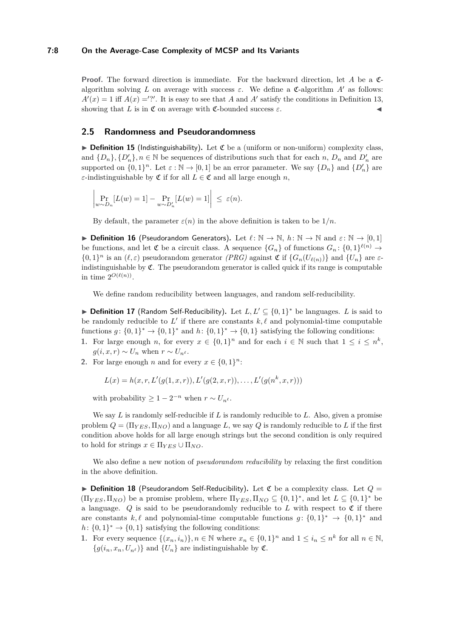#### **7:8 On the Average-Case Complexity of MCSP and Its Variants**

**Proof.** The forward direction is immediate. For the backward direction, let *A* be a Calgorithm solving L on average with success  $\varepsilon$ . We define a C-algorithm A' as follows:  $A'(x) = 1$  iff  $A(x) =$ '?'. It is easy to see that *A* and *A'* satisfy the conditions in Definition [13,](#page-6-0) showing that *L* is in  $\mathfrak C$  on average with  $\mathfrak C$ -bounded success  $\varepsilon$ .

## **2.5 Randomness and Pseudorandomness**

 $\triangleright$  **Definition 15** (Indistinguishability). Let  $\mathfrak{C}$  be a (uniform or non-uniform) complexity class, and  $\{D_n\}$ ,  $\{D'_n\}$ ,  $n \in \mathbb{N}$  be sequences of distributions such that for each *n*,  $D_n$  and  $D'_n$  are supported on  $\{0,1\}^n$ . Let  $\varepsilon : \mathbb{N} \to [0,1]$  be an error parameter. We say  $\{D_n\}$  and  $\{D'_n\}$  are *ε*-indistinguishable by  $\mathfrak C$  if for all  $L \in \mathfrak C$  and all large enough *n*,

$$
\left| \Pr_{w \sim D_n} [L(w) = 1] - \Pr_{w \sim D'_n} [L(w) = 1] \right| \le \varepsilon(n).
$$

By default, the parameter  $\varepsilon(n)$  in the above definition is taken to be  $1/n$ .

**▶ Definition 16** (Pseudorandom Generators). Let  $\ell : \mathbb{N} \to \mathbb{N}$ ,  $h : \mathbb{N} \to \mathbb{N}$  and  $\varepsilon : \mathbb{N} \to [0,1]$ be functions, and let  $\mathfrak C$  be a circuit class. A sequence  $\{G_n\}$  of functions  $G_n: \{0,1\}^{\ell(n)} \to$  $\{0,1\}^n$  is an  $(\ell, \varepsilon)$  pseudorandom generator *(PRG)* against  $\mathfrak{C}$  if  $\{G_n(U_{\ell(n)})\}$  and  $\{U_n\}$  are  $\varepsilon$ indistinguishable by  $\mathfrak{C}$ . The pseudorandom generator is called quick if its range is computable in time  $2^{O(\ell(n))}$ .

We define random reducibility between languages, and random self-reducibility.

▶ **Definition 17** (Random Self-Reducibility). Let  $L, L' \subseteq \{0, 1\}^*$  be languages. *L* is said to be randomly reducible to  $L'$  if there are constants  $k, \ell$  and polynomial-time computable functions  $g: \{0,1\}^* \to \{0,1\}^*$  and  $h: \{0,1\}^* \to \{0,1\}$  satisfying the following conditions:

- **1.** For large enough *n*, for every  $x \in \{0,1\}^n$  and for each  $i \in \mathbb{N}$  such that  $1 \leq i \leq n^k$ ,  $g(i, x, r) \sim U_n$  when  $r \sim U_{n^{\ell}}$ .
- **2.** For large enough *n* and for every  $x \in \{0, 1\}^n$ :

 $L(x) = h(x, r, L'(g(1, x, r)), L'(g(2, x, r)), \ldots, L'(g(n^k, x, r)))$ 

with probability  $\geq 1 - 2^{-n}$  when  $r \sim U_{n^{\ell}}$ .

We say *L* is randomly self-reducible if *L* is randomly reducible to *L*. Also, given a promise problem  $Q = (\Pi_{YES}, \Pi_{NO})$  and a language L, we say Q is randomly reducible to L if the first condition above holds for all large enough strings but the second condition is only required to hold for strings  $x \in \Pi_{YES} \cup \Pi_{NO}$ .

We also define a new notion of *pseudorandom reducibility* by relaxing the first condition in the above definition.

<span id="page-7-0"></span> $\triangleright$  **Definition 18** (Pseudorandom Self-Reducibility). Let  $\mathfrak{C}$  be a complexity class. Let  $Q =$  $(\Pi_{YES}, \Pi_{NO})$  be a promise problem, where  $\Pi_{YES}, \Pi_{NO} \subseteq \{0,1\}^*$ , and let  $L \subseteq \{0,1\}^*$  be a language.  $Q$  is said to be pseudorandomly reducible to  $L$  with respect to  $\mathfrak C$  if there are constants  $k, \ell$  and polynomial-time computable functions  $g: \{0,1\}^* \to \{0,1\}^*$  and  $h: \{0,1\}^* \to \{0,1\}$  satisfying the following conditions:

**1.** For every sequence  $\{(x_n, i_n)\}, n \in \mathbb{N}$  where  $x_n \in \{0, 1\}^n$  and  $1 \leq i_n \leq n^k$  for all  $n \in \mathbb{N}$ ,  ${g(i_n, x_n, U_{n^{\ell}})}$  and  ${U_n}$  are indistinguishable by  $\mathfrak{C}$ .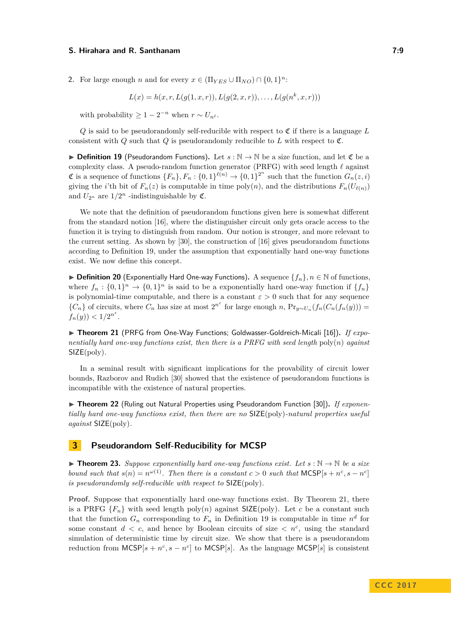**2.** For large enough *n* and for every  $x \in (\Pi_{YES} \cup \Pi_{NO}) \cap \{0,1\}^n$ :

$$
L(x) = h(x, r, L(g(1, x, r)), L(g(2, x, r)), \dots, L(g(n^k, x, r)))
$$

with probability  $\geq 1 - 2^{-n}$  when  $r \sim U_{n^{\ell}}$ .

 $Q$  is said to be pseudorandomly self-reducible with respect to  $\mathfrak C$  if there is a language  $L$ consistent with *Q* such that *Q* is pseudorandomly reducible to *L* with respect to  $\mathfrak{C}$ .

<span id="page-8-1"></span>**► Definition 19** (Pseudorandom Functions). Let  $s : \mathbb{N} \to \mathbb{N}$  be a size function, and let  $\mathfrak{C}$  be a complexity class. A pseudo-random function generator (PRFG) with seed length  $\ell$  against  $\mathfrak{C}$  is a sequence of functions  $\{F_n\}$ ,  $F_n: \{0,1\}^{\ell(n)} \to \{0,1\}^{2^n}$  such that the function  $G_n(z, i)$ giving the *i*'th bit of  $F_n(z)$  is computable in time poly(*n*), and the distributions  $F_n(U_{\ell(n)})$ and  $U_{2^n}$  are  $1/2^n$  -indistinguishable by  $\mathfrak{C}$ .

We note that the definition of pseudorandom functions given here is somewhat different from the standard notion [\[16\]](#page-18-11), where the distinguisher circuit only gets oracle access to the function it is trying to distinguish from random. Our notion is stronger, and more relevant to the current setting. As shown by [\[30\]](#page-19-3), the construction of [\[16\]](#page-18-11) gives pseudorandom functions according to Definition [19,](#page-8-1) under the assumption that exponentially hard one-way functions exist. We now define this concept.

I **Definition 20** (Exponentially Hard One-way Functions)**.** A sequence {*fn*}*, n* ∈ N of functions, where  $f_n: \{0,1\}^n \to \{0,1\}^n$  is said to be a exponentially hard one-way function if  $\{f_n\}$ is polynomial-time computable, and there is a constant  $\varepsilon > 0$  such that for any sequence  ${C_n}$  of circuits, where  $C_n$  has size at most  $2^{n^{\varepsilon}}$  for large enough *n*,  $Pr_{y \sim U_n}(f_n(C_n(f_n(y)))$  $f_n(y)$ )  $\lt 1/2^{n^{\varepsilon}}$ .

<span id="page-8-2"></span>▶ Theorem 21 (PRFG from One-Way Functions; Goldwasser-Goldreich-Micali [\[16\]](#page-18-11)). *If exponentially hard one-way functions exist, then there is a PRFG with seed length* poly(*n*) *against* SIZE(poly)*.*

In a seminal result with significant implications for the provability of circuit lower bounds, Razborov and Rudich [\[30\]](#page-19-3) showed that the existence of pseudorandom functions is incompatible with the existence of natural properties.

▶ Theorem 22 (Ruling out Natural Properties using Pseudorandom Function [\[30\]](#page-19-3)). *If exponentially hard one-way functions exist, then there are no* SIZE(poly)*-natural properties useful against* SIZE(poly)*.*

## <span id="page-8-0"></span>**3 Pseudorandom Self-Reducibility for MCSP**

<span id="page-8-3"></span>**► Theorem 23.** Suppose exponentially hard one-way functions exist. Let  $s : \mathbb{N} \to \mathbb{N}$  be a size *bound such that*  $s(n) = n^{\omega(1)}$ . Then there is a constant  $c > 0$  such that  $MCSP[s + n^c, s - n^c]$ *is pseudorandomly self-reducible with respect to* SIZE(poly)*.*

**Proof.** Suppose that exponentially hard one-way functions exist. By Theorem [21,](#page-8-2) there is a PRFG  ${F_n}$  with seed length poly(*n*) against SIZE(poly). Let *c* be a constant such that the function  $G_n$  corresponding to  $F_n$  in Definition [19](#page-8-1) is computable in time  $n^d$  for some constant  $d < c$ , and hence by Boolean circuits of size  $\langle n^c \rangle$  using the standard simulation of deterministic time by circuit size. We show that there is a pseudorandom reduction from  $MCSP[s + n^c, s - n^c]$  to  $MCSP[s]$ . As the language  $MCSP[s]$  is consistent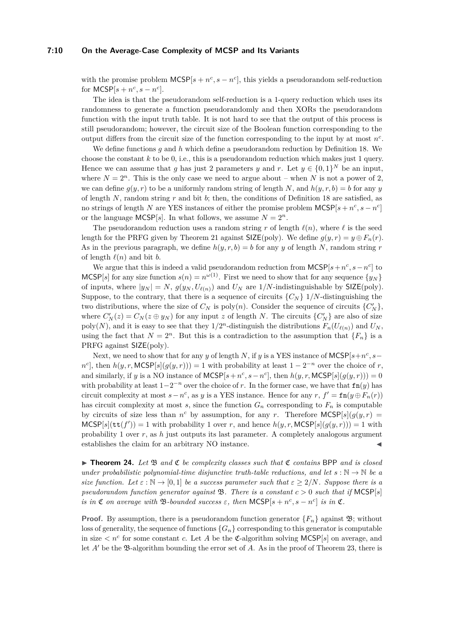#### **7:10 On the Average-Case Complexity of MCSP and Its Variants**

with the promise problem  $MCSP[s + n^c, s - n^c]$ , this yields a pseudorandom self-reduction for  $MCSP[s + n^c, s - n^c]$ .

The idea is that the pseudorandom self-reduction is a 1-query reduction which uses its randomness to generate a function pseudorandomly and then XORs the pseudorandom function with the input truth table. It is not hard to see that the output of this process is still pseudorandom; however, the circuit size of the Boolean function corresponding to the output differs from the circuit size of the function corresponding to the input by at most *n c* .

We define functions *g* and *h* which define a pseudorandom reduction by Definition [18.](#page-7-0) We choose the constant *k* to be 0, i.e., this is a pseudorandom reduction which makes just 1 query. Hence we can assume that *g* has just 2 parameters *y* and *r*. Let  $y \in \{0,1\}^N$  be an input, where  $N = 2^n$ . This is the only case we need to argue about – when N is not a power of 2, we can define  $g(y, r)$  to be a uniformly random string of length *N*, and  $h(y, r, b) = b$  for any *y* of length *N*, random string *r* and bit *b*; then, the conditions of Definition [18](#page-7-0) are satisfied, as no strings of length *N* are YES instances of either the promise problem  $MCSP[s + n^c, s - n^c]$ or the language MCSP[s]. In what follows, we assume  $N = 2^n$ .

The pseudorandom reduction uses a random string *r* of length  $\ell(n)$ , where  $\ell$  is the seed length for the PRFG given by Theorem [21](#page-8-2) against  $SIZE(poly)$ . We define  $g(y, r) = y \oplus F_n(r)$ . As in the previous paragraph, we define  $h(y, r, b) = b$  for any *y* of length *N*, random string *r* of length  $\ell(n)$  and bit *b*.

We argue that this is indeed a valid pseudorandom reduction from  $MCSP[s + n^c, s - n^c]$  to MCSP[s] for any size function  $s(n) = n^{\omega(1)}$ . First we need to show that for any sequence  $\{y_N\}$ of inputs, where  $|y_N| = N$ ,  $g(y_N, U_{\ell(n)})$  and  $U_N$  are  $1/N$ -indistinguishable by  $\text{SIZE}(\text{poly})$ . Suppose, to the contrary, that there is a sequence of circuits  $\{C_N\}$  1/*N*-distinguishing the two distributions, where the size of  $C_N$  is poly $(n)$ . Consider the sequence of circuits  $\{C'_N\}$ , where  $C'_N(z) = C_N(z \oplus y_N)$  for any input *z* of length *N*. The circuits  $\{C'_N\}$  are also of size poly(*N*), and it is easy to see that they  $1/2^n$ -distinguish the distributions  $F_n(U_{\ell(n)})$  and  $U_N$ , using the fact that  $N = 2^n$ . But this is a contradiction to the assumption that  $\{F_n\}$  is a PRFG against SIZE(poly).

Next, we need to show that for any *y* of length *N*, if *y* is a YES instance of  $MCSP[s+n^c, s-\alpha]$  $n^c$ , then  $h(y, r, \text{MCSP}[s](g(y, r))) = 1$  with probability at least  $1 - 2^{-n}$  over the choice of *r*, and similarly, if *y* is a NO instance of  $MCSP[s + n^c, s - n^c]$ , then  $h(y, r, MCSP[s](g(y, r))) = 0$ with probability at least  $1-2^{-n}$  over the choice of *r*. In the former case, we have that  $fn(y)$  has circuit complexity at most  $s - n^c$ , as *y* is a YES instance. Hence for any  $r, f' = \text{fn}(y \oplus F_n(r))$ has circuit complexity at most  $s$ , since the function  $G_n$  corresponding to  $F_n$  is computable by circuits of size less than  $n^c$  by assumption, for any *r*. Therefore  $MCSP[s](g(y, r))$  $MCSP[s](\text{tt}(f')) = 1$  with probability 1 over *r*, and hence  $h(y, r, MCSP[s](g(y, r))) = 1$  with probability 1 over *r*, as *h* just outputs its last parameter. A completely analogous argument establishes the claim for an arbitrary NO instance.

<span id="page-9-0"></span> $\triangleright$  **Theorem 24.** Let  $\mathfrak{B}$  and  $\mathfrak{C}$  be complexity classes such that  $\mathfrak{C}$  contains BPP and is closed *under probabilistic polynomial-time disjunctive truth-table reductions, and let*  $s : \mathbb{N} \to \mathbb{N}$  *be a size function.* Let  $\varepsilon : \mathbb{N} \to [0,1]$  be a success parameter such that  $\varepsilon \geq 2/N$ *. Suppose there is a pseudorandom function generator against*  $\mathfrak{B}$ *. There is a constant*  $c > 0$  *such that if* MCSP[*s*] *is in*  $\mathfrak{C}$  *on average with*  $\mathfrak{B}\text{-}bounded$  *success*  $\varepsilon$ *, then*  $MCSP[s + n^c, s - n^c]$  *is in*  $\mathfrak{C}$ *.* 

**Proof.** By assumption, there is a pseudorandom function generator  $\{F_n\}$  against  $\mathfrak{B}$ ; without loss of generality, the sequence of functions  ${G_n}$  corresponding to this generator is computable in size  $\lt n^c$  for some constant *c*. Let *A* be the *C*-algorithm solving MCSP[*s*] on average, and let  $A'$  be the  $\mathfrak{B}$ -algorithm bounding the error set of  $A$ . As in the proof of Theorem [23,](#page-8-3) there is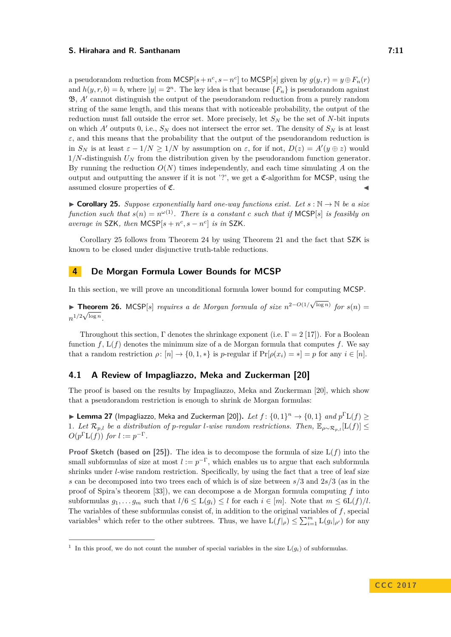a pseudorandom reduction from  $MCSP[s + n^c, s - n^c]$  to  $MCSP[s]$  given by  $g(y, r) = y \oplus F_n(r)$ and  $h(y, r, b) = b$ , where  $|y| = 2<sup>n</sup>$ . The key idea is that because  $\{F_n\}$  is pseudorandom against  $\mathfrak{B}, A'$  cannot distinguish the output of the pseudorandom reduction from a purely random string of the same length, and this means that with noticeable probability, the output of the reduction must fall outside the error set. More precisely, let  $S_N$  be the set of *N*-bit inputs on which *A*<sup> $\prime$ </sup> outputs 0, i.e.,  $S_N$  does not intersect the error set. The density of  $S_N$  is at least  $\varepsilon$ , and this means that the probability that the output of the pseudorandom reduction is in  $S_N$  is at least  $\varepsilon - 1/N \ge 1/N$  by assumption on  $\varepsilon$ , for if not,  $D(z) = A'(y \oplus z)$  would 1*/N*-distinguish *U<sup>N</sup>* from the distribution given by the pseudorandom function generator. By running the reduction *O*(*N*) times independently, and each time simulating *A* on the output and outputting the answer if it is not '?', we get a  $\mathfrak{C}\text{-algorithm}$  for MCSP, using the  $\blacksquare$  assumed closure properties of  $\mathfrak{C}$ .

<span id="page-10-0"></span>**► Corollary 25.** Suppose exponentially hard one-way functions exist. Let  $s : \mathbb{N} \to \mathbb{N}$  be a size *function such that*  $s(n) = n^{\omega(1)}$ *. There is a constant c such that if* MCSP[*s*] *is feasibly on average in* SZK, then  $MCSP[s + n^c, s - n^c]$  *is in* SZK.

Corollary [25](#page-10-0) follows from Theorem [24](#page-9-0) by using Theorem [21](#page-8-2) and the fact that SZK is known to be closed under disjunctive truth-table reductions.

## **4 De Morgan Formula Lower Bounds for MCSP**

In this section, we will prove an unconditional formula lower bound for computing MCSP.

<span id="page-10-3"></span>**Find 76.** MCSP[s] *requires a de Morgan formula of size*  $n^{2-O(1/\sqrt{\log n})}$  *for*  $s(n) =$  $n^{1/2}\sqrt{\log n}$ .

Throughout this section, Γ denotes the shrinkage exponent (i.e.  $\Gamma = 2$  [\[17\]](#page-18-12)). For a Boolean function  $f$ ,  $L(f)$  denotes the minimum size of a de Morgan formula that computes  $f$ . We say that a random restriction  $\rho: [n] \to \{0, 1, *\}$  is *p*-regular if  $\Pr[\rho(x_i) = *] = p$  for any  $i \in [n]$ .

#### **4.1 A Review of Impagliazzo, Meka and Zuckerman [\[20\]](#page-18-7)**

The proof is based on the results by Impagliazzo, Meka and Zuckerman [\[20\]](#page-18-7), which show that a pseudorandom restriction is enough to shrink de Morgan formulas:

<span id="page-10-2"></span>**Example 27** (Impagliazzo, Meka and Zuckerman [\[20\]](#page-18-7)). Let  $f: \{0,1\}^n \rightarrow \{0,1\}$  and  $p^{\Gamma}L(f) \ge$ 1*.* Let  $\mathcal{R}_{p,l}$  be a distribution of *p*-regular *l-wise random restrictions. Then,*  $\mathbb{E}_{\rho \sim \mathcal{R}_{p,l}}[L(f)]$  ≤  $O(p^{\Gamma}L(f))$  *for*  $l := p^{-\Gamma}$ *.* 

**Proof Sketch (based on [\[25\]](#page-19-7)).** The idea is to decompose the formula of size L(*f*) into the small subformulas of size at most  $l := p^{-\Gamma}$ , which enables us to argue that each subformula shrinks under *l*-wise random restriction. Specifically, by using the fact that a tree of leaf size *s* can be decomposed into two trees each of which is of size between *s/*3 and 2*s/*3 (as in the proof of Spira's theorem [\[33\]](#page-19-8)), we can decompose a de Morgan formula computing *f* into subformulas  $g_1, \ldots, g_m$  such that  $l/6 \leq L(g_i) \leq l$  for each  $i \in [m]$ . Note that  $m \leq \frac{6L(f)}{l}$ . The variables of these subformulas consist of, in addition to the original variables of *f*, special variables<sup>[1](#page-10-1)</sup> which refer to the other subtrees. Thus, we have  $L(f|_{\rho}) \leq \sum_{i=1}^{m} L(g_i|_{\rho'})$  for any

<span id="page-10-1"></span><sup>&</sup>lt;sup>1</sup> In this proof, we do not count the number of special variables in the size  $L(g_i)$  of subformulas.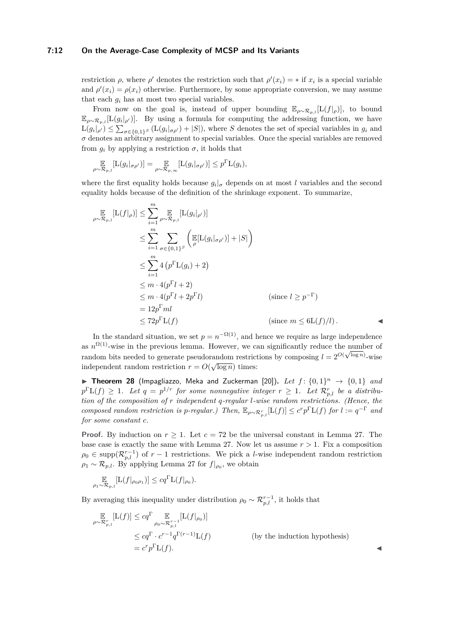#### **7:12 On the Average-Case Complexity of MCSP and Its Variants**

restriction  $\rho$ , where  $\rho'$  denotes the restriction such that  $\rho'(x_i) = *$  if  $x_i$  is a special variable and  $\rho'(x_i) = \rho(x_i)$  otherwise. Furthermore, by some appropriate conversion, we may assume that each  $q_i$  has at most two special variables.

From now on the goal is, instead of upper bounding  $\mathbb{E}_{\rho \sim \mathcal{R}_{p,l}}[L(f|\rho)],$  to bound  $\mathbb{E}_{\rho\sim\mathcal{R}_{p,l}}[L(g_i|_{\rho'})]$ . By using a formula for computing the addressing function, we have  $L(g_i|_{\rho'}) \leq \sum_{\sigma \in \{0,1\}^S} (L(g_i|_{\sigma \rho'}) + |S|)$ , where *S* denotes the set of special variables in  $g_i$  and  $\sigma$  denotes an arbitrary assignment to special variables. Once the special variables are removed from  $q_i$  by applying a restriction  $\sigma$ , it holds that

$$
\mathop{\mathbb{E}}_{\rho \sim \mathcal{R}_{p,l}}[L(g_i|_{\sigma \rho'})] = \mathop{\mathbb{E}}_{\rho \sim \mathcal{R}_{p,\infty}}[L(g_i|_{\sigma \rho'})] \leq p^{\Gamma} L(g_i),
$$

where the first equality holds because  $g_i|_{\sigma}$  depends on at most *l* variables and the second equality holds because of the definition of the shrinkage exponent. To summarize,

$$
\mathbb{E}_{\rho \sim \mathcal{R}_{p,l}}[\mathcal{L}(f|_{\rho})] \leq \sum_{i=1}^{m} \mathbb{E}_{\rho \sim \mathcal{R}_{p,l}}[\mathcal{L}(g_{i}|_{\rho'})]
$$
\n
$$
\leq \sum_{i=1}^{m} \sum_{\sigma \in \{0,1\}^{S}} \left( \mathbb{E}[\mathcal{L}(g_{i}|_{\sigma \rho'})] + |S| \right)
$$
\n
$$
\leq \sum_{i=1}^{m} 4 \left( p^{\Gamma} \mathcal{L}(g_{i}) + 2 \right)
$$
\n
$$
\leq m \cdot 4(p^{\Gamma} l + 2)
$$
\n
$$
\leq m \cdot 4(p^{\Gamma} l + 2p^{\Gamma} l) \qquad \text{(since } l \geq p^{-\Gamma})
$$
\n
$$
= 12p^{\Gamma} ml
$$
\n
$$
\leq 72p^{\Gamma} \mathcal{L}(f) \qquad \text{(since } m \leq 6\mathcal{L}(f)/l).
$$

In the standard situation, we set  $p = n^{-\Omega(1)}$ , and hence we require as large independence as  $n^{\Omega(1)}$ -wise in the previous lemma. However, we can significantly reduce the number of random bits needed to generate pseudorandom restrictions by composing  $l = 2^{O(\sqrt{\log n})}$ -wise independent random restriction  $r = O(\sqrt{\log n})$  times:

<span id="page-11-0"></span>**Figure 128** (Impagliazzo, Meka and Zuckerman [\[20\]](#page-18-7)). Let  $f: \{0,1\}^n \rightarrow \{0,1\}$  and  $p^{\Gamma}L(f) \geq 1$ *. Let*  $q = p^{1/r}$  *for some nonnegative integer*  $r \geq 1$ *. Let*  $\mathcal{R}_{p,l}^{r}$  *be a distribution of the composition of r independent q-regular l-wise random restrictions. (Hence, the composed random restriction is <i>p*-regular.) Then,  $\mathbb{E}_{\rho \sim \mathcal{R}_{p,l}^r}[\mathcal{L}(f)] \leq c^r p^{\Gamma} \mathcal{L}(f)$  *for*  $l := q^{-\Gamma}$  *and for some constant c.*

**Proof.** By induction on  $r > 1$ . Let  $c = 72$  be the universal constant in Lemma [27.](#page-10-2) The base case is exactly the same with Lemma [27.](#page-10-2) Now let us assume  $r > 1$ . Fix a composition  $\rho_0 \in \text{supp}(\mathcal{R}_{p,l}^{r-1})$  of  $r-1$  restrictions. We pick a *l*-wise independent random restriction  $\rho_1 \sim \mathcal{R}_{p,l}$ . By applying Lemma [27](#page-10-2) for  $f|_{\rho_0}$ , we obtain

$$
\mathop{\mathbb{E}}_{\rho_1 \sim \mathcal{R}_{p,l}} [L(f|_{\rho_0 \rho_1})] \leq c q^{\Gamma} L(f|_{\rho_0}).
$$

By averaging this inequality under distribution  $\rho_0 \sim \mathcal{R}_{p,l}^{r-1}$ , it holds that

$$
\mathbb{E}_{\rho \sim \mathcal{R}_{p,l}^r} [L(f)] \leq c q^{\Gamma} \mathbb{E}_{\rho_0 \sim \mathcal{R}_{p,l}^{r-1}} [L(f|_{\rho_0})]
$$
\n
$$
\leq c q^{\Gamma} \cdot c^{r-1} q^{\Gamma(r-1)} L(f)
$$
\n(by the induction hypothesis)\n
$$
= c^r p^{\Gamma} L(f).
$$

on hypothesis)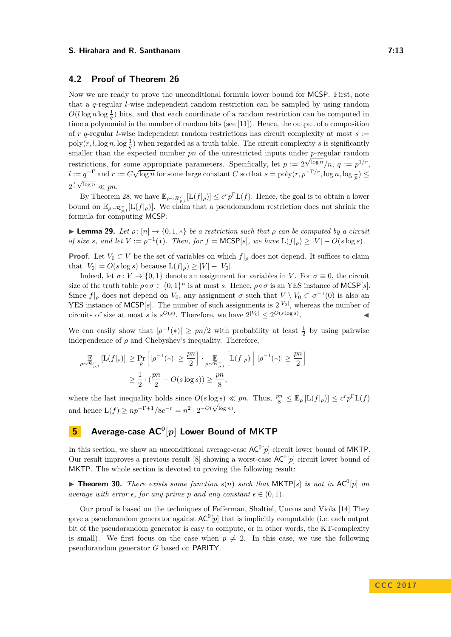## **4.2 Proof of Theorem [26](#page-10-3)**

Now we are ready to prove the unconditional formula lower bound for MCSP. First, note that a *q*-regular *l*-wise independent random restriction can be sampled by using random  $O(l \log n \log \frac{1}{q})$  bits, and that each coordinate of a random restriction can be computed in time a polynomial in the number of random bits (see [\[11\]](#page-18-13)). Hence, the output of a composition of  $r$   $q$ -regular *l*-wise independent random restrictions has circuit complexity at most  $s :=$  $poly(r, l, \log n, \log \frac{1}{q})$  when regarded as a truth table. The circuit complexity *s* is significantly smaller than the expected number  $pn$  of the unrestricted inputs under  $p$ -regular random restrictions, for some appropriate parameters. Specifically, let  $p := 2^{\sqrt{\log n}}/n$ ,  $q := p^{1/r}$ , *l* :=  $q^{-\Gamma}$  and  $r := C\sqrt{\log n}$  for some large constant *C* so that  $s = \text{poly}(r, p^{-\Gamma/r}, \log n, \log \frac{1}{p}) \le$  $2^{\frac{1}{2}\sqrt{\log n}} \ll pn$ .

By Theorem [28,](#page-11-0) we have  $\mathbb{E}_{\rho \sim \mathcal{R}_{p,l}^r}[\mathcal{L}(f|_{\rho})] \le c^r p^{\Gamma} \mathcal{L}(f)$ . Hence, the goal is to obtain a lower bound on  $\mathbb{E}_{\rho \sim \mathcal{R}_{p,l}^r} [L(f|_{\rho})]$ . We claim that a pseudorandom restriction does not shrink the formula for computing MCSP:

**Lemma 29.** Let  $\rho: [n] \to \{0, 1, *\}$  be a restriction such that  $\rho$  can be computed by a circuit *of size s*, and let  $V := \rho^{-1}(*)$ *. Then, for*  $f = \text{MCSP}[s]$ *, we have*  $L(f|_{\rho}) \geq |V| - O(s \log s)$ *.* 

**Proof.** Let  $V_0 \subset V$  be the set of variables on which  $f|_{\rho}$  does not depend. It suffices to claim that  $|V_0| = O(s \log s)$  because  $L(f|_{\rho}) \geq |V| - |V_0|$ .

Indeed, let  $\sigma: V \to \{0, 1\}$  denote an assignment for variables in *V*. For  $\sigma \equiv 0$ , the circuit size of the truth table  $\rho \circ \sigma \in \{0,1\}^n$  is at most *s*. Hence,  $\rho \circ \sigma$  is an YES instance of MCSP[*s*]. Since  $f|_{\rho}$  does not depend on  $V_0$ , any assignment  $\sigma$  such that  $V \setminus V_0 \subset \sigma^{-1}(0)$  is also an YES instance of MCSP[s]. The number of such assignments is  $2^{|V_0|}$ , whereas the number of circuits of size at most *s* is  $s^{O(s)}$ . Therefore, we have  $2^{|V_0|} \leq 2^{O(s \log s)}$  $\mathcal{L}$   $\mathcal{L}$   $\mathcal{L}$   $\mathcal{L}$   $\mathcal{L}$ 

We can easily show that  $|\rho^{-1}(*)| \geq pn/2$  with probability at least  $\frac{1}{2}$  by using pairwise independence of  $\rho$  and Chebyshev's inequality. Therefore,

$$
\mathop{\mathbb{E}}_{\rho \sim \mathcal{R}_{p,l}^r} \left[ \mathcal{L}(f|_{\rho}) \right] \ge \mathop{\mathbb{P}}_{\rho}^r \left[ |\rho^{-1}(*)| \ge \frac{pn}{2} \right] \cdot \mathop{\mathbb{E}}_{\rho \sim \mathcal{R}_{p,l}^r} \left[ \mathcal{L}(f|_{\rho}) \middle| |\rho^{-1}(*)| \ge \frac{pn}{2} \right]
$$

$$
\ge \frac{1}{2} \cdot \left( \frac{pn}{2} - O(s \log s) \right) \ge \frac{pn}{8},
$$

where the last inequality holds since  $O(s \log s) \ll pn$ . Thus,  $\frac{pn}{8} \leq \mathbb{E}_{\rho} [L(f|_{\rho})] \leq c^r p^{\Gamma} L(f)$ and hence  $L(f) \geq np^{-\Gamma+1}/8c^{-r} = n^2 \cdot 2^{-O(\sqrt{\log n})}$ .

## **5 Average-case AC<sup>0</sup> [***p***] Lower Bound of MKTP**

In this section, we show an unconditional average-case  $AC^0[p]$  circuit lower bound of MKTP. Our result improves a previous result [\[8\]](#page-18-5) showing a worst-case  $AC^0[p]$  circuit lower bound of MKTP. The whole section is devoted to proving the following result:

<span id="page-12-0"></span>**Find 10.** There exists some function  $s(n)$  such that MKTP[s] is not in AC<sup>0</sup>[p] on *average with error*  $\epsilon$ , *for any prime p and any constant*  $\epsilon \in (0,1)$ *.* 

Our proof is based on the techniques of Fefferman, Shaltiel, Umans and Viola [\[14\]](#page-18-8) They gave a pseudorandom generator against  $AC^0[p]$  that is implicitly computable (i.e. each output bit of the pseudorandom generator is easy to compute, or in other words, the KT-complexity is small). We first focus on the case when  $p \neq 2$ . In this case, we use the following pseudorandom generator *G* based on PARITY.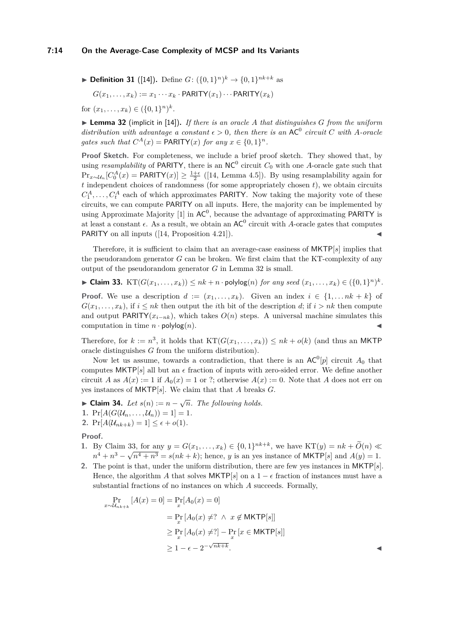$$
\blacktriangleright \text{Definition 31 ([14]). Define } G: (\{0,1\}^n)^k \to \{0,1\}^{nk+k} \text{ as}
$$

$$
G(x_1, \ldots, x_k) := x_1 \cdots x_k \cdot \text{PARITY}(x_1) \cdots \text{PARITY}(x_k)
$$

for  $(x_1, \ldots, x_k) \in (\{0, 1\}^n)^k$ .

<span id="page-13-0"></span>▶ **Lemma 32** (implicit in [\[14\]](#page-18-8)). *If there is an oracle A that distinguishes G from the uniform distribution with advantage a constant*  $\epsilon > 0$ , then there is an AC<sup>0</sup> circuit C with A-oracle *gates such that*  $C^A(x) = \text{PARITY}(x)$  *for any*  $x \in \{0, 1\}^n$ .

Proof Sketch. For completeness, we include a brief proof sketch. They showed that, by using *resamplability* of PARITY, there is an  $NC^0$  circuit  $C_0$  with one A-oracle gate such that  $\Pr_{x \sim \mathcal{U}_n}[C_0^A(x) = \text{PARITY}(x)] \ge \frac{1+\epsilon}{2}$  ([\[14,](#page-18-8) Lemma 4.5]). By using resamplability again for *t* independent choices of randomness (for some appropriately chosen *t*), we obtain circuits  $C_1^A, \ldots, C_t^A$  each of which approximates **PARITY**. Now taking the majority vote of these circuits, we can compute PARITY on all inputs. Here, the majority can be implemented by using Approximate Majority [\[1\]](#page-17-5) in  $AC^0$ , because the advantage of approximating PARITY is at least a constant  $\epsilon$ . As a result, we obtain an  $AC^0$  circuit with *A*-oracle gates that computes PARITY on all inputs  $([14, Proposition 4.21]).$  $([14, Proposition 4.21]).$  $([14, Proposition 4.21]).$ 

Therefore, it is sufficient to claim that an average-case easiness of MKTP[*s*] implies that the pseudorandom generator *G* can be broken. We first claim that the KT-complexity of any output of the pseudorandom generator *G* in Lemma [32](#page-13-0) is small.

<span id="page-13-1"></span>▶ Claim 33.  $KT(G(x_1, \ldots, x_k)) \leq nk + n \cdot \text{polylog}(n)$  *for any seed*  $(x_1, \ldots, x_k) \in (\{0, 1\}^n)^k$ .

**Proof.** We use a description  $d := (x_1, \ldots, x_k)$ . Given an index  $i \in \{1, \ldots nk + k\}$  of  $G(x_1, \ldots, x_k)$ , if  $i \leq nk$  then output the *i*th bit of the description *d*; if  $i > nk$  then compute and output PARITY( $x_{i-nk}$ ), which takes  $O(n)$  steps. A universal machine simulates this computation in time  $n \cdot \text{polylog}(n)$ .

Therefore, for  $k := n^3$ , it holds that  $KT(G(x_1, \ldots, x_k)) \leq nk + o(k)$  (and thus an MKTP oracle distinguishes *G* from the uniform distribution).

Now let us assume, towards a contradiction, that there is an  $AC^0[p]$  circuit  $A_0$  that computes  $MKTP[s]$  all but an  $\epsilon$  fraction of inputs with zero-sided error. We define another circuit *A* as  $A(x) := 1$  if  $A_0(x) = 1$  or ?; otherwise  $A(x) := 0$ . Note that *A* does not err on yes instances of MKTP[*s*]. We claim that that *A* breaks *G*.

► **Claim 34.** *Let*  $s(n) := n - \sqrt{n}$ *. The following holds.* **1.**  $Pr[A(G(\mathcal{U}_n, \ldots, \mathcal{U}_n)) = 1] = 1.$ 2.  $Pr[A(\mathcal{U}_{nk+k}) = 1] \leq \epsilon + o(1)$ .

#### **Proof.**

- **1.** By Claim [33,](#page-13-1) for any  $y = G(x_1, ..., x_k) \in \{0, 1\}^{nk+k}$ , we have  $KT(y) = nk + \tilde{O}(n) \ll$  $n^4 + n^3 - \sqrt{n^4 + n^3} = s(nk + k)$ ; hence, *y* is an yes instance of MKTP[*s*] and  $A(y) = 1$ .
- **2.** The point is that, under the uniform distribution, there are few yes instances in MKTP[*s*]. Hence, the algorithm *A* that solves  $MKTP[s]$  on a  $1 - \epsilon$  fraction of instances must have a substantial fractions of no instances on which *A* succeeds. Formally,

$$
\Pr_{x \sim \mathcal{U}_{nk+k}} [A(x) = 0] = \Pr_x [A_0(x) = 0]
$$
\n
$$
= \Pr_x [A_0(x) \neq ? \land x \notin \text{MKTP}[s]]
$$
\n
$$
\geq \Pr_x [A_0(x) \neq ?] - \Pr_x [x \in \text{MKTP}[s]]
$$
\n
$$
\geq 1 - \epsilon - 2^{-\sqrt{nk+k}}.
$$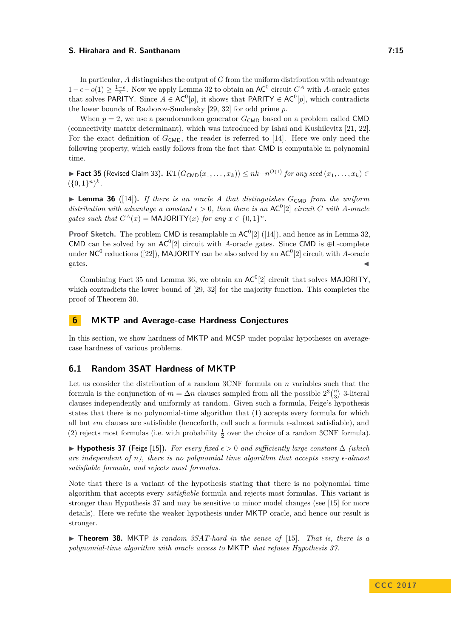In particular, *A* distinguishes the output of *G* from the uniform distribution with advantage  $1-\epsilon$  − *o*(1) ≥  $\frac{1-\epsilon}{2}$ . Now we apply Lemma [32](#page-13-0) to obtain an AC<sup>0</sup> circuit *C*<sup>*A*</sup> with *A*-oracle gates that solves PARITY. Since  $A \in AC^0[p]$ , it shows that PARITY  $\in AC^0[p]$ , which contradicts the lower bounds of Razborov-Smolensky [\[29,](#page-19-9) [32\]](#page-19-10) for odd prime *p*.

When  $p = 2$ , we use a pseudorandom generator  $G_{\text{CMD}}$  based on a problem called CMD (connectivity matrix determinant), which was introduced by Ishai and Kushilevitz [\[21,](#page-18-14) [22\]](#page-18-15). For the exact definition of  $G<sub>CMD</sub>$ , the reader is referred to [\[14\]](#page-18-8). Here we only need the following property, which easily follows from the fact that CMD is computable in polynomial time.

<span id="page-14-0"></span>▶ Fact 35 (Revised Claim [33\)](#page-13-1).  $KT(G_{\text{CMD}}(x_1, \ldots, x_k))$   $\leq nk+n^{O(1)}$  *for any seed*  $(x_1, \ldots, x_k)$   $\in$  $({0,1}^n)^k$ .

<span id="page-14-1"></span> $\triangleright$  **Lemma 36** ([\[14\]](#page-18-8)). If there is an oracle A that distinguishes  $G_{\text{CMD}}$  from the uniform *distribution with advantage a constant*  $\epsilon > 0$ , then there is an AC<sup>0</sup>[2] *circuit C* with *A*-oracle *gates such that*  $C^A(x) = \text{MAJORITY}(x)$  *for any*  $x \in \{0, 1\}^n$ .

**Proof Sketch.** The problem CMD is resamplable in  $AC^0[2]$  ([\[14\]](#page-18-8)), and hence as in Lemma [32,](#page-13-0) CMD can be solved by an  $AC^0[2]$  circuit with *A*-oracle gates. Since CMD is  $\oplus$ L-complete under NC<sup>0</sup> reductions ([\[22\]](#page-18-15)), MAJORITY can be also solved by an AC<sup>0</sup>[2] circuit with *A*-oracle  $\zeta$  gates.

Combining Fact [35](#page-14-0) and Lemma [36,](#page-14-1) we obtain an  $AC<sup>0</sup>[2]$  circuit that solves MAJORITY, which contradicts the lower bound of [\[29,](#page-19-9) [32\]](#page-19-10) for the majority function. This completes the proof of Theorem [30.](#page-12-0)

## **6 MKTP and Average-case Hardness Conjectures**

In this section, we show hardness of MKTP and MCSP under popular hypotheses on averagecase hardness of various problems.

## **6.1 Random 3SAT Hardness of MKTP**

Let us consider the distribution of a random 3CNF formula on *n* variables such that the formula is the conjunction of  $m = \Delta n$  clauses sampled from all the possible  $2^3 {n \choose 3}$  3-literal clauses independently and uniformly at random. Given such a formula, Feige's hypothesis states that there is no polynomial-time algorithm that (1) accepts every formula for which all but  $\epsilon m$  clauses are satisfiable (henceforth, call such a formula  $\epsilon$ -almost satisfiable), and (2) rejects most formulas (i.e. with probability  $\frac{1}{2}$  over the choice of a random 3CNF formula).

<span id="page-14-2"></span>**► Hypothesis 37** (Feige [\[15\]](#page-18-9)). For every fixed  $\epsilon > 0$  and sufficiently large constant  $\Delta$  (which *are independent of n), there is no polynomial time algorithm that accepts every*  $\epsilon$ -almost *satisfiable formula, and rejects most formulas.*

Note that there is a variant of the hypothesis stating that there is no polynomial time algorithm that accepts every *satisfiable* formula and rejects most formulas. This variant is stronger than Hypothesis [37](#page-14-2) and may be sensitive to minor model changes (see [\[15\]](#page-18-9) for more details). Here we refute the weaker hypothesis under MKTP oracle, and hence our result is stronger.

<span id="page-14-3"></span>► **Theorem 38.** MKTP *is random 3SAT-hard in the sense of* [\[15\]](#page-18-9). *That is, there is a polynomial-time algorithm with oracle access to* MKTP *that refutes Hypothesis [37.](#page-14-2)*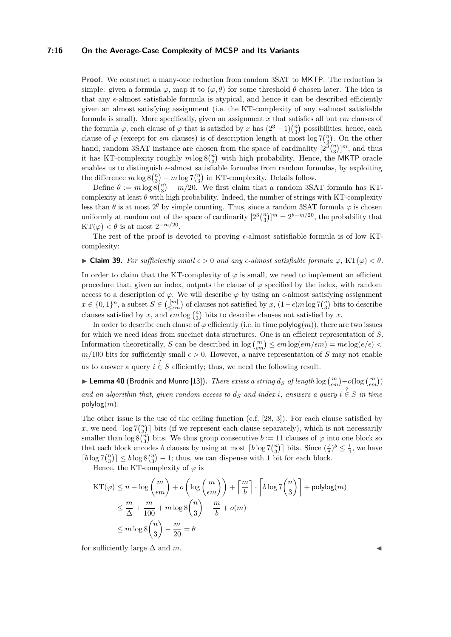#### **7:16 On the Average-Case Complexity of MCSP and Its Variants**

**Proof.** We construct a many-one reduction from random 3SAT to MKTP. The reduction is simple: given a formula  $\varphi$ , map it to  $(\varphi, \theta)$  for some threshold  $\theta$  chosen later. The idea is that any  $\epsilon$ -almost satisfiable formula is atypical, and hence it can be described efficiently given an almost satisfying assignment (i.e. the KT-complexity of any  $\epsilon$ -almost satisfiable formula is small). More specifically, given an assignment *x* that satisfies all but *m* clauses of the formula  $\varphi$ , each clause of  $\varphi$  that is satisfied by *x* has  $(2^3 - 1) {n \choose 3}$  possibilities; hence, each clause of  $\varphi$  (except for *em* clauses) is of description length at most log  $7\binom{n}{3}$ . On the other hand, random 3SAT instance are chosen from the space of cardinality  $[2^{3} \binom{n}{3}]^m$ , and thus it has KT-complexity roughly  $m \log 8{n \choose 3}$  with high probability. Hence, the MKTP oracle enables us to distinguish  $\epsilon$ -almost satisfiable formulas from random formulas, by exploiting the difference  $m \log 8{n \choose 3} - m \log 7{n \choose 3}$  in KT-complexity. Details follow.

Define  $\theta := m \log \tilde{8} \binom{n}{3} - m/20$ . We first claim that a random 3SAT formula has KTcomplexity at least  $\theta$  with high probability. Indeed, the number of strings with KT-complexity less than  $\theta$  is at most  $2^{\theta}$  by simple counting. Thus, since a random 3SAT formula  $\varphi$  is chosen uniformly at random out of the space of cardinarity  $[2^3 {n \choose 3}]^m = 2^{\theta + m/20}$ , the probability that KT( $\varphi$ ) <  $\theta$  is at most  $2^{-m/20}$ .

The rest of the proof is devoted to proving  $\epsilon$ -almost satisfiable formula is of low KTcomplexity:

#### $\blacktriangleright$  **Claim 39.** *For sufficiently small*  $\epsilon > 0$  *and any*  $\epsilon$ -*almost satisfiable formula*  $\varphi$ , KT( $\varphi$ ) < *θ*.

In order to claim that the KT-complexity of  $\varphi$  is small, we need to implement an efficient procedure that, given an index, outputs the clause of  $\varphi$  specified by the index, with random access to a description of  $\varphi$ . We will describe  $\varphi$  by using an  $\epsilon$ -almost satisfying assignment  $x \in \{0,1\}^n$ , a subset  $S \in \binom{[m]}{\leq \epsilon m}$  of clauses not satisfied by  $x$ ,  $(1-\epsilon)m \log \frac{7\binom{n}{3}}{2}$  bits to describe clauses satisfied by *x*, and  $\epsilon m \log {n \choose 3}$  bits to describe clauses not satisfied by *x*.

In order to describe each clause of  $\varphi$  efficiently (i.e. in time  $polylog(m))$ , there are two issues for which we need ideas from succinct data structures. One is an efficient representation of *S*. Information theoretically, *S* can be described in  $\log {m \choose \epsilon m} \le \epsilon m \log(em/\epsilon m) = m\epsilon \log(e/\epsilon)$  $m/100$  bits for sufficiently small  $\epsilon > 0$ . However, a naive representation of *S* may not enable us to answer a query  $i \in S$  efficiently; thus, we need the following result.

 $\blacktriangleright$  Lemma 40 (Brodnik and Munro [\[13\]](#page-18-16)). *There exists a string*  $d_S$  *of length*  $\log {m \choose \epsilon m} + o(\log {m \choose \epsilon m})$ and an algorithm that, given random access to  $d_S$  and index *i*, answers a query  $i \in S$  in time polylog(*m*)*.*

The other issue is the use of the ceiling function (c.f. [\[28,](#page-19-11) [3\]](#page-17-3)). For each clause satisfied by x, we need  $\lceil \log 7{n \choose 3} \rceil$  bits (if we represent each clause separately), which is not necessarily smaller than  $\log 8\binom{n}{3}$  bits. We thus group consecutive  $b := 11$  clauses of  $\varphi$  into one block so that each block encodes *b* clauses by using at most  $\lceil b \log 7 \binom{n}{3} \rceil$  bits. Since  $(\frac{7}{8})^b \leq \frac{1}{4}$ , we have  $\lceil b \log 7 \binom{n}{3} \rceil \leq b \log 8 \binom{n}{3} - 1$ ; thus, we can dispense with 1 bit for each block.

Hence, the KT-complexity of  $\varphi$  is

$$
KT(\varphi) \le n + \log {m \choose \epsilon m} + o\left(\log{m \choose \epsilon m}\right) + \left\lceil \frac{m}{b} \right\rceil \cdot \left\lceil b\log 7 {n \choose 3} \right\rceil + \text{polylog}(m)
$$
  

$$
\le \frac{m}{\Delta} + \frac{m}{100} + m\log 8 {n \choose 3} - \frac{m}{b} + o(m)
$$
  

$$
\le m\log 8 {n \choose 3} - \frac{m}{20} = \theta
$$

for sufficiently large  $\Delta$  and  $m$ .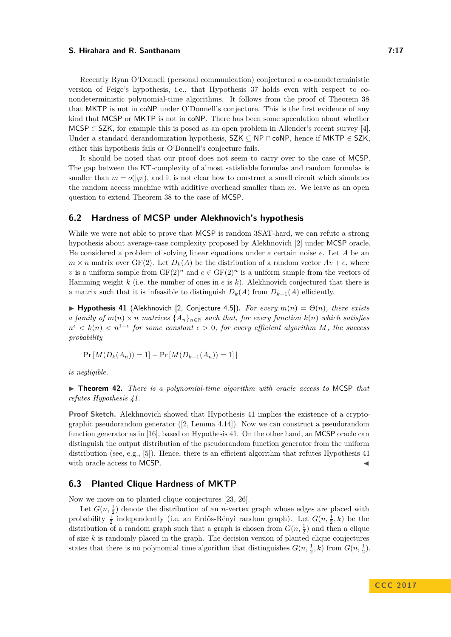Recently Ryan O'Donnell (personal communication) conjectured a co-nondeterministic version of Feige's hypothesis, i.e., that Hypothesis [37](#page-14-2) holds even with respect to conondeterministic polynomial-time algorithms. It follows from the proof of Theorem [38](#page-14-3) that MKTP is not in coNP under O'Donnell's conjecture. This is the first evidence of any kind that MCSP or MKTP is not in coNP. There has been some speculation about whether MCSP  $\in$  SZK, for example this is posed as an open problem in Allender's recent survey [\[4\]](#page-17-6).

Under a standard derandomization hypothesis, SZK ⊆ NP ∩ coNP, hence if MKTP ∈ SZK, either this hypothesis fails or O'Donnell's conjecture fails.

It should be noted that our proof does not seem to carry over to the case of MCSP. The gap between the KT-complexity of almost satisfiable formulas and random formulas is smaller than  $m = o(|\varphi|)$ , and it is not clear how to construct a small circuit which simulates the random access machine with additive overhead smaller than *m*. We leave as an open question to extend Theorem [38](#page-14-3) to the case of MCSP.

## **6.2 Hardness of MCSP under Alekhnovich's hypothesis**

While we were not able to prove that MCSP is random 3SAT-hard, we can refute a strong hypothesis about average-case complexity proposed by Alekhnovich [\[2\]](#page-17-4) under MCSP oracle. He considered a problem of solving linear equations under a certain noise *e*. Let *A* be an  $m \times n$  matrix over GF(2). Let  $D_k(A)$  be the distribution of a random vector  $Av + e$ , where *v* is a uniform sample from  $GF(2)^n$  and  $e \in GF(2)^n$  is a uniform sample from the vectors of Hamming weight *k* (i.e. the number of ones in *e* is *k*). Alekhnovich conjectured that there is a matrix such that it is infeasible to distinguish  $D_k(A)$  from  $D_{k+1}(A)$  efficiently.

<span id="page-16-0"></span> $\blacktriangleright$  **Hypothesis 41** (Alekhnovich [\[2,](#page-17-4) Conjecture 4.5]). *For every*  $m(n) = \Theta(n)$ , there exists *a family of*  $m(n) \times n$  *matrices*  $\{A_n\}_{n \in \mathbb{N}}$  *such that, for every function*  $k(n)$  *which satisfies*  $n^{\epsilon} < k(n) < n^{1-\epsilon}$  for some constant  $\epsilon > 0$ , for every efficient algorithm M, the success *probability*

$$
|\Pr[M(D_k(A_n)) = 1] - \Pr[M(D_{k+1}(A_n)) = 1]|
$$

*is negligible.*

▶ **Theorem 42.** *There is a polynomial-time algorithm with oracle access to* MCSP *that refutes Hypothesis [41.](#page-16-0)*

**Proof Sketch.** Alekhnovich showed that Hypothesis [41](#page-16-0) implies the existence of a cryptographic pseudorandom generator ([\[2,](#page-17-4) Lemma 4.14]). Now we can construct a pseudorandom function generator as in [\[16\]](#page-18-11), based on Hypothesis [41.](#page-16-0) On the other hand, an MCSP oracle can distinguish the output distribution of the pseudorandom function generator from the uniform distribution (see, e.g., [\[5\]](#page-17-0)). Hence, there is an efficient algorithm that refutes Hypothesis [41](#page-16-0) with oracle access to MCSP.

## **6.3 Planted Clique Hardness of MKTP**

Now we move on to planted clique conjectures [\[23,](#page-18-10) [26\]](#page-19-5).

Let  $G(n, \frac{1}{2})$  denote the distribution of an *n*-vertex graph whose edges are placed with probability  $\frac{1}{2}$  independently (i.e. an Erdős-Rényi random graph). Let  $G(n, \frac{1}{2}, k)$  be the distribution of a random graph such that a graph is chosen from  $G(n, \frac{1}{2})$  and then a clique of size *k* is randomly placed in the graph. The decision version of planted clique conjectures states that there is no polynomial time algorithm that distinguishes  $G(n, \frac{1}{2}, k)$  from  $G(n, \frac{1}{2})$ .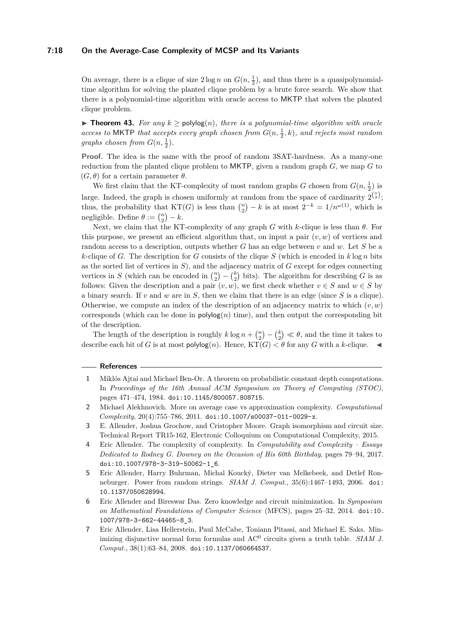#### **7:18 On the Average-Case Complexity of MCSP and Its Variants**

On average, there is a clique of size  $2 \log n$  on  $G(n, \frac{1}{2})$ , and thus there is a quasipolynomialtime algorithm for solving the planted clique problem by a brute force search. We show that there is a polynomial-time algorithm with oracle access to MKTP that solves the planted clique problem.

**► Theorem 43.** For any  $k >$  polylog(n), there is a polynomial-time algorithm with oracle *access to* MKTP *that accepts every graph chosen from*  $G(n, \frac{1}{2}, k)$ *, and rejects most random graphs chosen from*  $G(n, \frac{1}{2})$ *.* 

**Proof.** The idea is the same with the proof of random 3SAT-hardness. As a many-one reduction from the planted clique problem to MKTP, given a random graph *G*, we map *G* to  $(G, \theta)$  for a certain parameter  $\theta$ .

We first claim that the KT-complexity of most random graphs *G* chosen from  $G(n, \frac{1}{2})$  is large. Indeed, the graph is chosen uniformly at random from the space of cardinarity  $2^{n \choose 2}$ ; thus, the probability that  $KT(G)$  is less than  $\binom{n}{2} - k$  is at most  $2^{-k} = 1/n^{\omega(1)}$ , which is negligible. Define  $\theta := \binom{n}{2} - k$ .

Next, we claim that the KT-complexity of any graph *G* with *k*-clique is less than *θ*. For this purpose, we present an efficient algorithm that, on input a pair  $(v, w)$  of vertices and random access to a description, outputs whether *G* has an edge between *v* and *w*. Let *S* be a *k*-clique of *G*. The description for *G* consists of the clique *S* (which is encoded in  $k \log n$  bits as the sorted list of vertices in *S*), and the adjacency matrix of *G* except for edges connecting vertices in *S* (which can be encoded in  $\binom{n}{2} - \binom{k}{2}$  bits). The algorithm for describing *G* is as follows: Given the description and a pair  $(v, w)$ , we first check whether  $v \in S$  and  $w \in S$  by a binary search. If *v* and *w* are in *S*, then we claim that there is an edge (since *S* is a clique). Otherwise, we compute an index of the description of an adjacency matrix to which  $(v, w)$ corresponds (which can be done in  $polylog(n)$  time), and then output the corresponding bit of the description.

The length of the description is roughly  $k \log n + \binom{n}{2} - \binom{k}{2} \ll \theta$ , and the time it takes to describe each bit of *G* is at most  $\text{polylog}(n)$ . Hence,  $\text{KT}(G) < \theta$  for any *G* with a *k*-clique.

#### **References**

- <span id="page-17-5"></span>**1** Miklós Ajtai and Michael Ben-Or. A theorem on probabilistic constant depth computations. In *Proceedings of the 16th Annual ACM Symposium on Theory of Computing (STOC)*, pages 471–474, 1984. [doi:10.1145/800057.808715](http://dx.doi.org/10.1145/800057.808715).
- <span id="page-17-4"></span>**2** Michael Alekhnovich. More on average case vs approximation complexity. *Computational Complexity*, 20(4):755–786, 2011. [doi:10.1007/s00037-011-0029-x](http://dx.doi.org/10.1007/s00037-011-0029-x).
- <span id="page-17-3"></span>**3** E. Allender, Joshua Grochow, and Cristopher Moore. Graph isomorphism and circuit size. Technical Report TR15-162, Electronic Colloquium on Computational Complexity, 2015.
- <span id="page-17-6"></span>**4** Eric Allender. The complexity of complexity. In *Computability and Complexity – Essays Dedicated to Rodney G. Downey on the Occasion of His 60th Birthday*, pages 79–94, 2017. [doi:10.1007/978-3-319-50062-1\\_6](http://dx.doi.org/10.1007/978-3-319-50062-1_6).
- <span id="page-17-0"></span>**5** Eric Allender, Harry Buhrman, Michal Koucký, Dieter van Melkebeek, and Detlef Ronneburger. Power from random strings. *SIAM J. Comput.*, 35(6):1467–1493, 2006. [doi:](http://dx.doi.org/10.1137/050628994) [10.1137/050628994](http://dx.doi.org/10.1137/050628994).
- <span id="page-17-2"></span>**6** Eric Allender and Bireswar Das. Zero knowledge and circuit minimization. In *Symposium on Mathematical Foundations of Computer Science* (MFCS), pages 25–32, 2014. [doi:10.](http://dx.doi.org/10.1007/978-3-662-44465-8_3) [1007/978-3-662-44465-8\\_3](http://dx.doi.org/10.1007/978-3-662-44465-8_3).
- <span id="page-17-1"></span>**7** Eric Allender, Lisa Hellerstein, Paul McCabe, Toniann Pitassi, and Michael E. Saks. Minimizing disjunctive normal form formulas and AC<sup>0</sup> circuits given a truth table. *SIAM J. Comput.*, 38(1):63–84, 2008. [doi:10.1137/060664537](http://dx.doi.org/10.1137/060664537).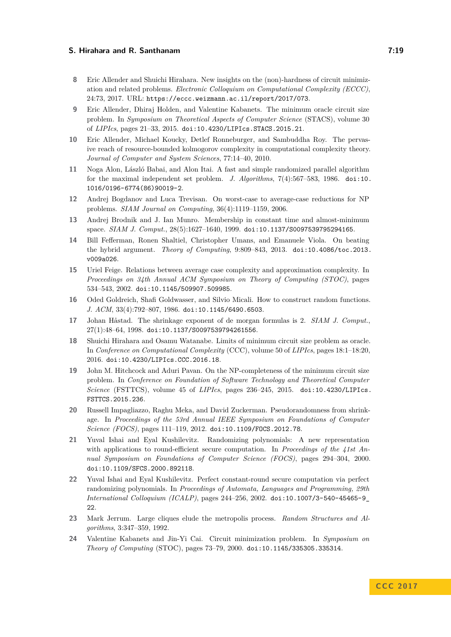- <span id="page-18-5"></span>**8** Eric Allender and Shuichi Hirahara. New insights on the (non)-hardness of circuit minimization and related problems. *Electronic Colloquium on Computational Complexity (ECCC)*, 24:73, 2017. URL: <https://eccc.weizmann.ac.il/report/2017/073>.
- <span id="page-18-2"></span>**9** Eric Allender, Dhiraj Holden, and Valentine Kabanets. The minimum oracle circuit size problem. In *Symposium on Theoretical Aspects of Computer Science* (STACS), volume 30 of *LIPIcs*, pages 21–33, 2015. [doi:10.4230/LIPIcs.STACS.2015.21](http://dx.doi.org/10.4230/LIPIcs.STACS.2015.21).
- <span id="page-18-1"></span>**10** Eric Allender, Michael Koucky, Detlef Ronneburger, and Sambuddha Roy. The pervasive reach of resource-bounded kolmogorov complexity in computational complexity theory. *Journal of Computer and System Sciences*, 77:14–40, 2010.
- <span id="page-18-13"></span>**11** Noga Alon, László Babai, and Alon Itai. A fast and simple randomized parallel algorithm for the maximal independent set problem. *J. Algorithms*, 7(4):567–583, 1986. [doi:10.](http://dx.doi.org/10.1016/0196-6774(86)90019-2) [1016/0196-6774\(86\)90019-2](http://dx.doi.org/10.1016/0196-6774(86)90019-2).
- <span id="page-18-6"></span>**12** Andrej Bogdanov and Luca Trevisan. On worst-case to average-case reductions for NP problems. *SIAM Journal on Computing*, 36(4):1119–1159, 2006.
- <span id="page-18-16"></span>**13** Andrej Brodnik and J. Ian Munro. Membership in constant time and almost-minimum space. *SIAM J. Comput.*, 28(5):1627–1640, 1999. [doi:10.1137/S0097539795294165](http://dx.doi.org/10.1137/S0097539795294165).
- <span id="page-18-8"></span>**14** Bill Fefferman, Ronen Shaltiel, Christopher Umans, and Emanuele Viola. On beating the hybrid argument. *Theory of Computing*, 9:809–843, 2013. [doi:10.4086/toc.2013.](http://dx.doi.org/10.4086/toc.2013.v009a026) [v009a026](http://dx.doi.org/10.4086/toc.2013.v009a026).
- <span id="page-18-9"></span>**15** Uriel Feige. Relations between average case complexity and approximation complexity. In *Proceedings on 34th Annual ACM Symposium on Theory of Computing (STOC)*, pages 534–543, 2002. [doi:10.1145/509907.509985](http://dx.doi.org/10.1145/509907.509985).
- <span id="page-18-11"></span>**16** Oded Goldreich, Shafi Goldwasser, and Silvio Micali. How to construct random functions. *J. ACM*, 33(4):792–807, 1986. [doi:10.1145/6490.6503](http://dx.doi.org/10.1145/6490.6503).
- <span id="page-18-12"></span>**17** Johan Håstad. The shrinkage exponent of de morgan formulas is 2. *SIAM J. Comput.*, 27(1):48–64, 1998. [doi:10.1137/S0097539794261556](http://dx.doi.org/10.1137/S0097539794261556).
- <span id="page-18-4"></span>**18** Shuichi Hirahara and Osamu Watanabe. Limits of minimum circuit size problem as oracle. In *Conference on Computational Complexity* (CCC), volume 50 of *LIPIcs*, pages 18:1–18:20, 2016. [doi:10.4230/LIPIcs.CCC.2016.18](http://dx.doi.org/10.4230/LIPIcs.CCC.2016.18).
- <span id="page-18-3"></span>**19** John M. Hitchcock and Aduri Pavan. On the NP-completeness of the minimum circuit size problem. In *Conference on Foundation of Software Technology and Theoretical Computer Science* (FSTTCS), volume 45 of *LIPIcs*, pages 236–245, 2015. [doi:10.4230/LIPIcs.](http://dx.doi.org/10.4230/LIPIcs.FSTTCS.2015.236) [FSTTCS.2015.236](http://dx.doi.org/10.4230/LIPIcs.FSTTCS.2015.236).
- <span id="page-18-7"></span>**20** Russell Impagliazzo, Raghu Meka, and David Zuckerman. Pseudorandomness from shrinkage. In *Proceedings of the 53rd Annual IEEE Symposium on Foundations of Computer Science (FOCS)*, pages 111–119, 2012. [doi:10.1109/FOCS.2012.78](http://dx.doi.org/10.1109/FOCS.2012.78).
- <span id="page-18-14"></span>**21** Yuval Ishai and Eyal Kushilevitz. Randomizing polynomials: A new representation with applications to round-efficient secure computation. In *Proceedings of the 41st Annual Symposium on Foundations of Computer Science (FOCS)*, pages 294–304, 2000. [doi:10.1109/SFCS.2000.892118](http://dx.doi.org/10.1109/SFCS.2000.892118).
- <span id="page-18-15"></span>**22** Yuval Ishai and Eyal Kushilevitz. Perfect constant-round secure computation via perfect randomizing polynomials. In *Proceedings of Automata, Languages and Programming, 29th International Colloquium (ICALP)*, pages 244–256, 2002. [doi:10.1007/3-540-45465-9\\_](http://dx.doi.org/10.1007/3-540-45465-9_22) [22](http://dx.doi.org/10.1007/3-540-45465-9_22).
- <span id="page-18-10"></span>**23** Mark Jerrum. Large cliques elude the metropolis process. *Random Structures and Algorithms*, 3:347–359, 1992.
- <span id="page-18-0"></span>**24** Valentine Kabanets and Jin-Yi Cai. Circuit minimization problem. In *Symposium on Theory of Computing* (STOC), pages 73–79, 2000. [doi:10.1145/335305.335314](http://dx.doi.org/10.1145/335305.335314).